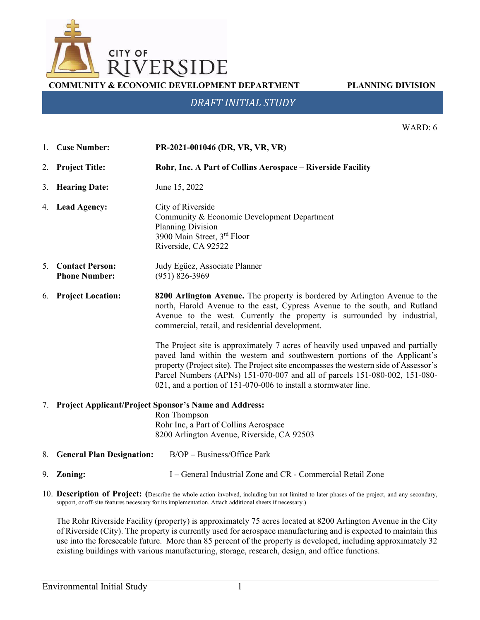

**COMMUNITY & ECONOMIC DEVELOPMENT DEPARTMENT PLANNING DIVISION**

# *DRAFT INITIAL STUDY*

WARD: 6

- 1. **Case Number: PR-2021-001046 (DR, VR, VR, VR)**
- 2. **Project Title: Rohr, Inc. A Part of Collins Aerospace – Riverside Facility**
- 3. **Hearing Date:** June 15, 2022

4. **Lead Agency:** City of Riverside Community & Economic Development Department Planning Division 3900 Main Street, 3rd Floor Riverside, CA 92522

5. **Contact Person: Phone Number:** Judy Egüez, Associate Planner (951) 826-3969

6. **Project Location: 8200 Arlington Avenue.** The property is bordered by Arlington Avenue to the north, Harold Avenue to the east, Cypress Avenue to the south, and Rutland Avenue to the west. Currently the property is surrounded by industrial, commercial, retail, and residential development.

> The Project site is approximately 7 acres of heavily used unpaved and partially paved land within the western and southwestern portions of the Applicant's property (Project site). The Project site encompasses the western side of Assessor's Parcel Numbers (APNs) 151-070-007 and all of parcels 151-080-002, 151-080- 021, and a portion of 151-070-006 to install a stormwater line.

### 7. **Project Applicant/Project Sponsor's Name and Address:**

Ron Thompson Rohr Inc, a Part of Collins Aerospace 8200 Arlington Avenue, Riverside, CA 92503

- 8. **General Plan Designation:** B/OP Business/Office Park
- 9. **Zoning:** I General Industrial Zone and CR Commercial Retail Zone
- 10. **Description of Project: (**Describe the whole action involved, including but not limited to later phases of the project, and any secondary, support, or off-site features necessary for its implementation. Attach additional sheets if necessary.)

The Rohr Riverside Facility (property) is approximately 75 acres located at 8200 Arlington Avenue in the City of Riverside (City). The property is currently used for aerospace manufacturing and is expected to maintain this use into the foreseeable future. More than 85 percent of the property is developed, including approximately 32 existing buildings with various manufacturing, storage, research, design, and office functions.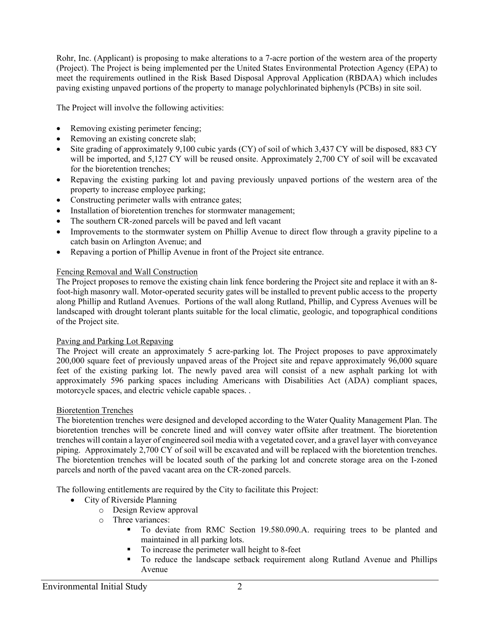Rohr, Inc. (Applicant) is proposing to make alterations to a 7-acre portion of the western area of the property (Project). The Project is being implemented per the United States Environmental Protection Agency (EPA) to meet the requirements outlined in the Risk Based Disposal Approval Application (RBDAA) which includes paving existing unpaved portions of the property to manage polychlorinated biphenyls (PCBs) in site soil.

The Project will involve the following activities:

- Removing existing perimeter fencing;
- Removing an existing concrete slab;
- Site grading of approximately 9,100 cubic yards (CY) of soil of which 3,437 CY will be disposed, 883 CY will be imported, and 5,127 CY will be reused onsite. Approximately 2,700 CY of soil will be excavated for the bioretention trenches;
- Repaving the existing parking lot and paving previously unpaved portions of the western area of the property to increase employee parking;
- Constructing perimeter walls with entrance gates;
- Installation of bioretention trenches for stormwater management;
- The southern CR-zoned parcels will be paved and left vacant
- Improvements to the stormwater system on Phillip Avenue to direct flow through a gravity pipeline to a catch basin on Arlington Avenue; and
- Repaving a portion of Phillip Avenue in front of the Project site entrance.

## Fencing Removal and Wall Construction

The Project proposes to remove the existing chain link fence bordering the Project site and replace it with an 8 foot-high masonry wall. Motor-operated security gates will be installed to prevent public access to the property along Phillip and Rutland Avenues. Portions of the wall along Rutland, Phillip, and Cypress Avenues will be landscaped with drought tolerant plants suitable for the local climatic, geologic, and topographical conditions of the Project site.

## Paving and Parking Lot Repaving

The Project will create an approximately 5 acre-parking lot. The Project proposes to pave approximately 200,000 square feet of previously unpaved areas of the Project site and repave approximately 96,000 square feet of the existing parking lot. The newly paved area will consist of a new asphalt parking lot with approximately 596 parking spaces including Americans with Disabilities Act (ADA) compliant spaces, motorcycle spaces, and electric vehicle capable spaces. .

## Bioretention Trenches

The bioretention trenches were designed and developed according to the Water Quality Management Plan. The bioretention trenches will be concrete lined and will convey water offsite after treatment. The bioretention trenches will contain a layer of engineered soil media with a vegetated cover, and a gravel layer with conveyance piping. Approximately 2,700 CY of soil will be excavated and will be replaced with the bioretention trenches. The bioretention trenches will be located south of the parking lot and concrete storage area on the I-zoned parcels and north of the paved vacant area on the CR-zoned parcels.

The following entitlements are required by the City to facilitate this Project:

- City of Riverside Planning
	- o Design Review approval
	- o Three variances:
		- To deviate from RMC Section 19.580.090.A. requiring trees to be planted and maintained in all parking lots.
		- To increase the perimeter wall height to 8-feet
		- To reduce the landscape setback requirement along Rutland Avenue and Phillips Avenue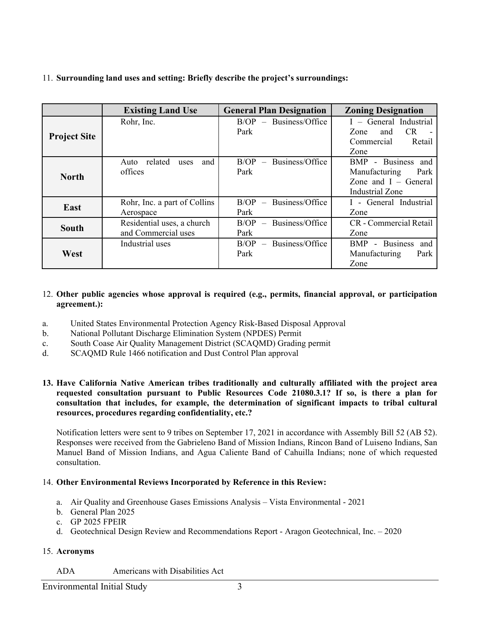# 11. **Surrounding land uses and setting: Briefly describe the project's surroundings:**

|                     | <b>Existing Land Use</b>                          | <b>General Plan Designation</b>  | <b>Zoning Designation</b>                                                                |
|---------------------|---------------------------------------------------|----------------------------------|------------------------------------------------------------------------------------------|
| <b>Project Site</b> | Rohr, Inc.                                        | $B/OP - Business/Office$<br>Park | I - General Industrial<br>CR<br>Zone<br>and<br>Commercial<br>Retail<br>Zone              |
| <b>North</b>        | related<br>and<br>Auto<br>uses<br>offices         | $B/OP - Business/Office$<br>Park | BMP - Business and<br>Park<br>Manufacturing<br>Zone and $I - General$<br>Industrial Zone |
| East                | Rohr, Inc. a part of Collins<br>Aerospace         | $B/OP - Business/Office$<br>Park | I - General Industrial<br>Zone                                                           |
| <b>South</b>        | Residential uses, a church<br>and Commercial uses | $B/OP - Business/Office$<br>Park | CR - Commercial Retail<br>Zone                                                           |
| West                | Industrial uses                                   | $B/OP - Business/Office$<br>Park | - Business<br><b>BMP</b><br>and<br>Manufacturing<br>Park<br>Zone                         |

## 12. **Other public agencies whose approval is required (e.g., permits, financial approval, or participation agreement.):**

- a. United States Environmental Protection Agency Risk-Based Disposal Approval
- b. National Pollutant Discharge Elimination System (NPDES) Permit
- c. South Coase Air Quality Management District (SCAQMD) Grading permit
- d. SCAQMD Rule 1466 notification and Dust Control Plan approval

## **13. Have California Native American tribes traditionally and culturally affiliated with the project area requested consultation pursuant to Public Resources Code 21080.3.1? If so, is there a plan for consultation that includes, for example, the determination of significant impacts to tribal cultural resources, procedures regarding confidentiality, etc.?**

Notification letters were sent to 9 tribes on September 17, 2021 in accordance with Assembly Bill 52 (AB 52). Responses were received from the Gabrieleno Band of Mission Indians, Rincon Band of Luiseno Indians, San Manuel Band of Mission Indians, and Agua Caliente Band of Cahuilla Indians; none of which requested consultation.

## 14. **Other Environmental Reviews Incorporated by Reference in this Review:**

- a. Air Quality and Greenhouse Gases Emissions Analysis Vista Environmental 2021
- b. General Plan 2025
- c. GP 2025 FPEIR
- d. Geotechnical Design Review and Recommendations Report Aragon Geotechnical, Inc. 2020

### 15. **Acronyms**

ADA Americans with Disabilities Act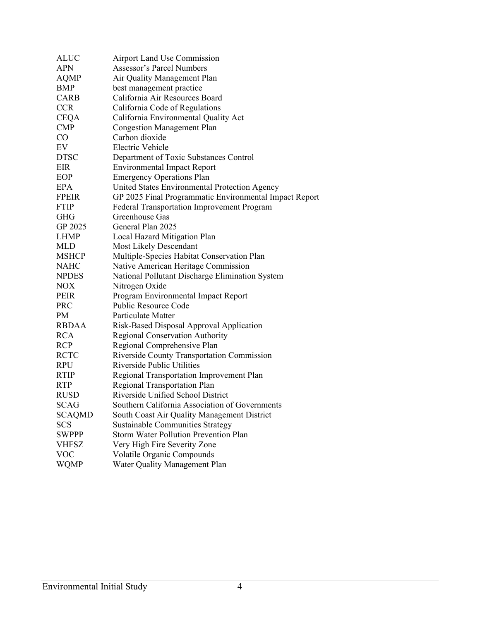| <b>ALUC</b>   | <b>Airport Land Use Commission</b>                     |
|---------------|--------------------------------------------------------|
| APN           | Assessor's Parcel Numbers                              |
| <b>AQMP</b>   | Air Quality Management Plan                            |
| BMP           | best management practice                               |
| <b>CARB</b>   | California Air Resources Board                         |
| <b>CCR</b>    | California Code of Regulations                         |
| <b>CEQA</b>   | California Environmental Quality Act                   |
| <b>CMP</b>    | <b>Congestion Management Plan</b>                      |
| $\rm CO$      | Carbon dioxide                                         |
| EV            | Electric Vehicle                                       |
| <b>DTSC</b>   | Department of Toxic Substances Control                 |
| EIR           | <b>Environmental Impact Report</b>                     |
| EOP           | <b>Emergency Operations Plan</b>                       |
| EPA           | United States Environmental Protection Agency          |
| <b>FPEIR</b>  | GP 2025 Final Programmatic Environmental Impact Report |
| <b>FTIP</b>   | Federal Transportation Improvement Program             |
| <b>GHG</b>    | Greenhouse Gas                                         |
| GP 2025       | General Plan 2025                                      |
| <b>LHMP</b>   | Local Hazard Mitigation Plan                           |
| <b>MLD</b>    | <b>Most Likely Descendant</b>                          |
| <b>MSHCP</b>  | Multiple-Species Habitat Conservation Plan             |
| <b>NAHC</b>   | Native American Heritage Commission                    |
| <b>NPDES</b>  | National Pollutant Discharge Elimination System        |
| <b>NOX</b>    | Nitrogen Oxide                                         |
| <b>PEIR</b>   | Program Environmental Impact Report                    |
| <b>PRC</b>    | Public Resource Code                                   |
| PM            | Particulate Matter                                     |
| <b>RBDAA</b>  | Risk-Based Disposal Approval Application               |
| <b>RCA</b>    | Regional Conservation Authority                        |
| <b>RCP</b>    | Regional Comprehensive Plan                            |
| <b>RCTC</b>   | Riverside County Transportation Commission             |
| <b>RPU</b>    | Riverside Public Utilities                             |
| <b>RTIP</b>   | Regional Transportation Improvement Plan               |
| <b>RTP</b>    | Regional Transportation Plan                           |
| <b>RUSD</b>   | Riverside Unified School District                      |
| <b>SCAG</b>   | Southern California Association of Governments         |
| <b>SCAQMD</b> | South Coast Air Quality Management District            |
| <b>SCS</b>    | <b>Sustainable Communities Strategy</b>                |
| <b>SWPPP</b>  | <b>Storm Water Pollution Prevention Plan</b>           |
| <b>VHFSZ</b>  | Very High Fire Severity Zone                           |
| <b>VOC</b>    | Volatile Organic Compounds                             |
| <b>WQMP</b>   | Water Quality Management Plan                          |
|               |                                                        |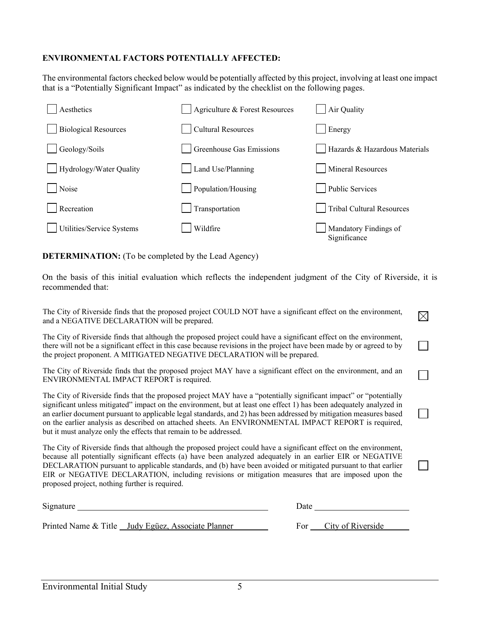# **ENVIRONMENTAL FACTORS POTENTIALLY AFFECTED:**

The environmental factors checked below would be potentially affected by this project, involving at least one impact that is a "Potentially Significant Impact" as indicated by the checklist on the following pages.



**DETERMINATION:** (To be completed by the Lead Agency)

On the basis of this initial evaluation which reflects the independent judgment of the City of Riverside, it is recommended that:

 $\boxtimes$ 

The City of Riverside finds that the proposed project COULD NOT have a significant effect on the environment, and a NEGATIVE DECLARATION will be prepared.

The City of Riverside finds that although the proposed project could have a significant effect on the environment, there will not be a significant effect in this case because revisions in the project have been made by or agreed to by the project proponent. A MITIGATED NEGATIVE DECLARATION will be prepared.

The City of Riverside finds that the proposed project MAY have a significant effect on the environment, and an ENVIRONMENTAL IMPACT REPORT is required.

The City of Riverside finds that the proposed project MAY have a "potentially significant impact" or "potentially significant unless mitigated" impact on the environment, but at least one effect 1) has been adequately analyzed in an earlier document pursuant to applicable legal standards, and 2) has been addressed by mitigation measures based on the earlier analysis as described on attached sheets. An ENVIRONMENTAL IMPACT REPORT is required, but it must analyze only the effects that remain to be addressed.

The City of Riverside finds that although the proposed project could have a significant effect on the environment, because all potentially significant effects (a) have been analyzed adequately in an earlier EIR or NEGATIVE DECLARATION pursuant to applicable standards, and (b) have been avoided or mitigated pursuant to that earlier EIR or NEGATIVE DECLARATION, including revisions or mitigation measures that are imposed upon the proposed project, nothing further is required.

| Signature |                                                    | Date |                   |  |  |  |
|-----------|----------------------------------------------------|------|-------------------|--|--|--|
|           | Printed Name & Title Judy Egüez, Associate Planner | For  | City of Riverside |  |  |  |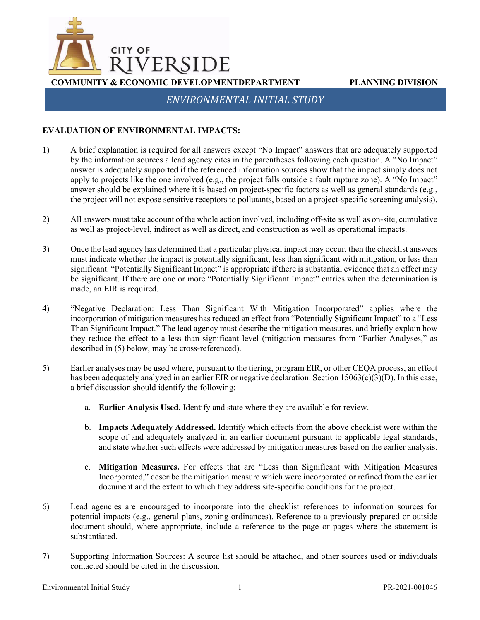

*ENVIRONMENTAL INITIAL STUDY*

# **EVALUATION OF ENVIRONMENTAL IMPACTS:**

- 1) A brief explanation is required for all answers except "No Impact" answers that are adequately supported by the information sources a lead agency cites in the parentheses following each question. A "No Impact" answer is adequately supported if the referenced information sources show that the impact simply does not apply to projects like the one involved (e.g., the project falls outside a fault rupture zone). A "No Impact" answer should be explained where it is based on project-specific factors as well as general standards (e.g., the project will not expose sensitive receptors to pollutants, based on a project-specific screening analysis).
- 2) All answers must take account of the whole action involved, including off-site as well as on-site, cumulative as well as project-level, indirect as well as direct, and construction as well as operational impacts.
- 3) Once the lead agency has determined that a particular physical impact may occur, then the checklist answers must indicate whether the impact is potentially significant, less than significant with mitigation, or less than significant. "Potentially Significant Impact" is appropriate if there is substantial evidence that an effect may be significant. If there are one or more "Potentially Significant Impact" entries when the determination is made, an EIR is required.
- 4) "Negative Declaration: Less Than Significant With Mitigation Incorporated" applies where the incorporation of mitigation measures has reduced an effect from "Potentially Significant Impact" to a "Less Than Significant Impact." The lead agency must describe the mitigation measures, and briefly explain how they reduce the effect to a less than significant level (mitigation measures from "Earlier Analyses," as described in (5) below, may be cross-referenced).
- 5) Earlier analyses may be used where, pursuant to the tiering, program EIR, or other CEQA process, an effect has been adequately analyzed in an earlier EIR or negative declaration. Section 15063(c)(3)(D). In this case, a brief discussion should identify the following:
	- a. **Earlier Analysis Used.** Identify and state where they are available for review.
	- b. **Impacts Adequately Addressed.** Identify which effects from the above checklist were within the scope of and adequately analyzed in an earlier document pursuant to applicable legal standards, and state whether such effects were addressed by mitigation measures based on the earlier analysis.
	- c. **Mitigation Measures.** For effects that are "Less than Significant with Mitigation Measures Incorporated," describe the mitigation measure which were incorporated or refined from the earlier document and the extent to which they address site-specific conditions for the project.
- 6) Lead agencies are encouraged to incorporate into the checklist references to information sources for potential impacts (e.g., general plans, zoning ordinances). Reference to a previously prepared or outside document should, where appropriate, include a reference to the page or pages where the statement is substantiated.
- 7) Supporting Information Sources: A source list should be attached, and other sources used or individuals contacted should be cited in the discussion.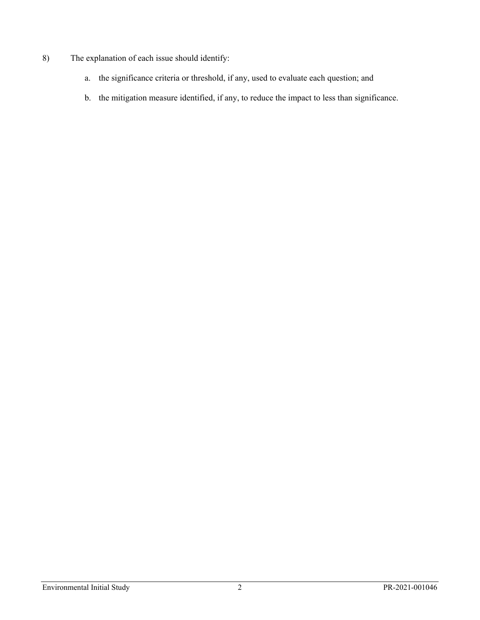# 8) The explanation of each issue should identify:

- a. the significance criteria or threshold, if any, used to evaluate each question; and
- b. the mitigation measure identified, if any, to reduce the impact to less than significance.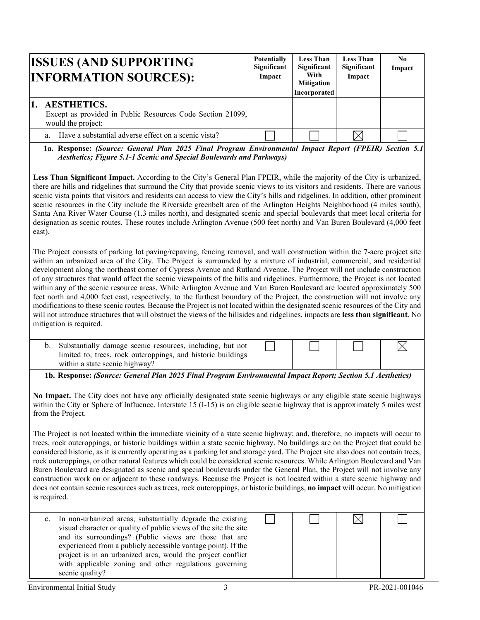| <b>ISSUES (AND SUPPORTING</b><br><b>INFORMATION SOURCES):</b>                                          | <b>Potentially</b><br>Significant<br>Impact | <b>Less Than</b><br>Significant<br>With<br><b>Mitigation</b><br>Incorporated | <b>Less Than</b><br>Significant<br>Impact | No.<br>Impact |
|--------------------------------------------------------------------------------------------------------|---------------------------------------------|------------------------------------------------------------------------------|-------------------------------------------|---------------|
| <b>AESTHETICS.</b><br>Except as provided in Public Resources Code Section 21099,<br>would the project: |                                             |                                                                              |                                           |               |
| Have a substantial adverse effect on a scenic vista?<br>a.                                             |                                             |                                                                              | IX                                        |               |

**1a. Response:** *(Source: General Plan 2025 Final Program Environmental Impact Report (FPEIR) Section 5.1 Aesthetics; Figure 5.1-1 Scenic and Special Boulevards and Parkways)* 

**Less Than Significant Impact.** According to the City's General Plan FPEIR, while the majority of the City is urbanized, there are hills and ridgelines that surround the City that provide scenic views to its visitors and residents. There are various scenic vista points that visitors and residents can access to view the City's hills and ridgelines. In addition, other prominent scenic resources in the City include the Riverside greenbelt area of the Arlington Heights Neighborhood (4 miles south), Santa Ana River Water Course (1.3 miles north), and designated scenic and special boulevards that meet local criteria for designation as scenic routes. These routes include Arlington Avenue (500 feet north) and Van Buren Boulevard (4,000 feet east).

The Project consists of parking lot paving/repaving, fencing removal, and wall construction within the 7-acre project site within an urbanized area of the City. The Project is surrounded by a mixture of industrial, commercial, and residential development along the northeast corner of Cypress Avenue and Rutland Avenue. The Project will not include construction of any structures that would affect the scenic viewpoints of the hills and ridgelines. Furthermore, the Project is not located within any of the scenic resource areas. While Arlington Avenue and Van Buren Boulevard are located approximately 500 feet north and 4,000 feet east, respectively, to the furthest boundary of the Project, the construction will not involve any modifications to these scenic routes. Because the Project is not located within the designated scenic resources of the City and will not introduce structures that will obstruct the views of the hillsides and ridgelines, impacts are **less than significant**. No mitigation is required.

| Substantially damage scenic resources, including, but not<br>limited to, trees, rock outcroppings, and historic buildings |  |  |
|---------------------------------------------------------------------------------------------------------------------------|--|--|
| within a state scenic highway?                                                                                            |  |  |

**1b. Response:** *(Source: General Plan 2025 Final Program Environmental Impact Report; Section 5.1 Aesthetics)*

**No Impact.** The City does not have any officially designated state scenic highways or any eligible state scenic highways within the City or Sphere of Influence. Interstate 15 (I-15) is an eligible scenic highway that is approximately 5 miles west from the Project.

The Project is not located within the immediate vicinity of a state scenic highway; and, therefore, no impacts will occur to trees, rock outcroppings, or historic buildings within a state scenic highway. No buildings are on the Project that could be considered historic, as it is currently operating as a parking lot and storage yard. The Project site also does not contain trees, rock outcroppings, or other natural features which could be considered scenic resources. While Arlington Boulevard and Van Buren Boulevard are designated as scenic and special boulevards under the General Plan, the Project will not involve any construction work on or adjacent to these roadways. Because the Project is not located within a state scenic highway and does not contain scenic resources such as trees, rock outcroppings, or historic buildings, **no impact** will occur. No mitigation is required.

| $c_{\cdot}$ | In non-urbanized areas, substantially degrade the existing       |
|-------------|------------------------------------------------------------------|
|             | visual character or quality of public views of the site the site |
|             | and its surroundings? (Public views are those that are           |
|             | experienced from a publicly accessible vantage point). If the    |
|             | project is in an urbanized area, would the project conflict      |
|             | with applicable zoning and other regulations governing           |
|             | scenic quality?                                                  |

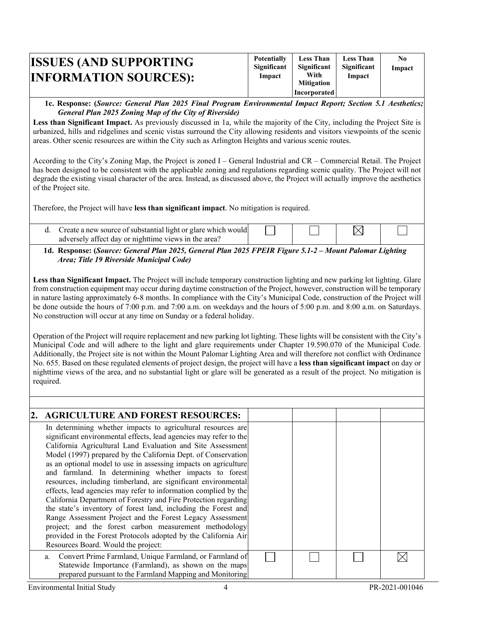| <b>ISSUES (AND SUPPORTING)</b><br><b>INFORMATION SOURCES):</b> | <b>Potentially</b><br>Significant<br>Impact | <b>Less Than</b><br>Significant<br>With<br><b>Mitigation</b><br>Incorporated | <b>Less Than</b><br>Significant<br>Impact | No.<br>Impact |
|----------------------------------------------------------------|---------------------------------------------|------------------------------------------------------------------------------|-------------------------------------------|---------------|
|----------------------------------------------------------------|---------------------------------------------|------------------------------------------------------------------------------|-------------------------------------------|---------------|

#### **1c. Response: (***Source: General Plan 2025 Final Program Environmental Impact Report; Section 5.1 Aesthetics; General Plan 2025 Zoning Map of the City of Riverside)*

**Less than Significant Impact.** As previously discussed in 1a, while the majority of the City, including the Project Site is urbanized, hills and ridgelines and scenic vistas surround the City allowing residents and visitors viewpoints of the scenic areas. Other scenic resources are within the City such as Arlington Heights and various scenic routes.

According to the City's Zoning Map, the Project is zoned I – General Industrial and CR – Commercial Retail. The Project has been designed to be consistent with the applicable zoning and regulations regarding scenic quality. The Project will not degrade the existing visual character of the area. Instead, as discussed above, the Project will actually improve the aesthetics of the Project site.

Therefore, the Project will have **less than significant impact**. No mitigation is required.

| Create a new source of substantial light or glare which would |  |  |
|---------------------------------------------------------------|--|--|
| adversely affect day or nighttime views in the area?          |  |  |

### **1d. Response: (***Source: General Plan 2025, General Plan 2025 FPEIR Figure 5.1-2 – Mount Palomar Lighting Area; Title 19 Riverside Municipal Code)*

**Less than Significant Impact.** The Project will include temporary construction lighting and new parking lot lighting. Glare from construction equipment may occur during daytime construction of the Project, however, construction will be temporary in nature lasting approximately 6-8 months. In compliance with the City's Municipal Code, construction of the Project will be done outside the hours of 7:00 p.m. and 7:00 a.m. on weekdays and the hours of 5:00 p.m. and 8:00 a.m. on Saturdays. No construction will occur at any time on Sunday or a federal holiday.

Operation of the Project will require replacement and new parking lot lighting. These lights will be consistent with the City's Municipal Code and will adhere to the light and glare requirements under Chapter 19.590.070 of the Municipal Code. Additionally, the Project site is not within the Mount Palomar Lighting Area and will therefore not conflict with Ordinance No. 655. Based on these regulated elements of project design, the project will have a **less than significant impact** on day or nighttime views of the area, and no substantial light or glare will be generated as a result of the project. No mitigation is required.

| 2. AGRICULTURE AND FOREST RESOURCES:                                                                                                                                                                                                                                                                                                                                                                                                                                                                                                                                                                                                                                                                                                                                                                                                                                                                     |  |  |
|----------------------------------------------------------------------------------------------------------------------------------------------------------------------------------------------------------------------------------------------------------------------------------------------------------------------------------------------------------------------------------------------------------------------------------------------------------------------------------------------------------------------------------------------------------------------------------------------------------------------------------------------------------------------------------------------------------------------------------------------------------------------------------------------------------------------------------------------------------------------------------------------------------|--|--|
| In determining whether impacts to agricultural resources are<br>significant environmental effects, lead agencies may refer to the<br>California Agricultural Land Evaluation and Site Assessment<br>Model (1997) prepared by the California Dept. of Conservation<br>as an optional model to use in assessing impacts on agriculture<br>and farmland. In determining whether impacts to forest<br>resources, including timberland, are significant environmental<br>effects, lead agencies may refer to information complied by the<br>California Department of Forestry and Fire Protection regarding<br>the state's inventory of forest land, including the Forest and<br>Range Assessment Project and the Forest Legacy Assessment<br>project; and the forest carbon measurement methodology<br>provided in the Forest Protocols adopted by the California Air<br>Resources Board. Would the project: |  |  |
| a. Convert Prime Farmland, Unique Farmland, or Farmland of<br>Statewide Importance (Farmland), as shown on the maps<br>prepared pursuant to the Farmland Mapping and Monitoring                                                                                                                                                                                                                                                                                                                                                                                                                                                                                                                                                                                                                                                                                                                          |  |  |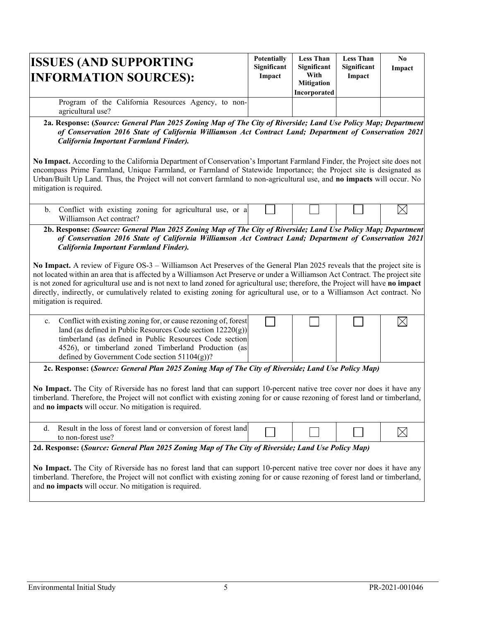| <b>ISSUES (AND SUPPORTING)</b><br><b>INFORMATION SOURCES):</b>           | <b>Potentially</b><br>Significant<br>Impact | <b>Less Than</b><br>Significant<br>With<br><b>Mitigation</b><br>Incorporated | <b>Less Than</b><br>Significant<br>Impact | No<br>Impact |
|--------------------------------------------------------------------------|---------------------------------------------|------------------------------------------------------------------------------|-------------------------------------------|--------------|
| Program of the California Resources Agency, to non-<br>agricultural use? |                                             |                                                                              |                                           |              |

**2a. Response: (***Source: General Plan 2025 Zoning Map of The City of Riverside; Land Use Policy Map; Department of Conservation 2016 State of California Williamson Act Contract Land; Department of Conservation 2021 California Important Farmland Finder).*

**No Impact.** According to the California Department of Conservation's Important Farmland Finder, the Project site does not encompass Prime Farmland, Unique Farmland, or Farmland of Statewide Importance; the Project site is designated as Urban/Built Up Land. Thus, the Project will not convert farmland to non-agricultural use, and **no impacts** will occur. No mitigation is required.

| . Conflict with existing zoning for agricultural use, or a |  |  |  |
|------------------------------------------------------------|--|--|--|
| Williamson Act contract?                                   |  |  |  |

**2b. Response:** *(Source: General Plan 2025 Zoning Map of The City of Riverside; Land Use Policy Map; Department of Conservation 2016 State of California Williamson Act Contract Land; Department of Conservation 2021 California Important Farmland Finder).*

**No Impact.** A review of Figure OS-3 – Williamson Act Preserves of the General Plan 2025 reveals that the project site is not located within an area that is affected by a Williamson Act Preserve or under a Williamson Act Contract. The project site is not zoned for agricultural use and is not next to land zoned for agricultural use; therefore, the Project will have **no impact** directly, indirectly, or cumulatively related to existing zoning for agricultural use, or to a Williamson Act contract. No mitigation is required.



**2c. Response: (***Source: General Plan 2025 Zoning Map of The City of Riverside; Land Use Policy Map)*

**No Impact.** The City of Riverside has no forest land that can support 10-percent native tree cover nor does it have any timberland. Therefore, the Project will not conflict with existing zoning for or cause rezoning of forest land or timberland, and **no impacts** will occur. No mitigation is required.

| Result in the loss of forest land or conversion of forest !<br>land |  |  |
|---------------------------------------------------------------------|--|--|
| to non-forest use                                                   |  |  |

**2d. Response: (***Source: General Plan 2025 Zoning Map of The City of Riverside; Land Use Policy Map)*

**No Impact.** The City of Riverside has no forest land that can support 10-percent native tree cover nor does it have any timberland. Therefore, the Project will not conflict with existing zoning for or cause rezoning of forest land or timberland, and **no impacts** will occur. No mitigation is required.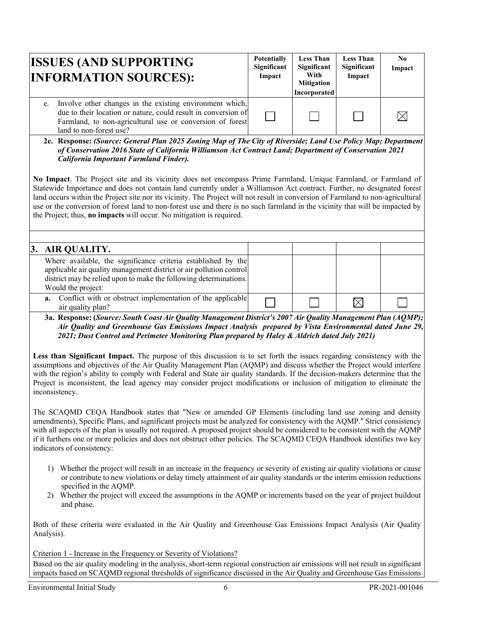| <b>ISSUES (AND SUPPORTING</b><br><b>INFORMATION SOURCES):</b>                                                                                                                                                         | <b>Potentially</b><br>Significant<br>Impact | <b>Less Than</b><br>Significant<br>With<br><b>Mitigation</b><br>Incorporated | <b>Less Than</b><br>Significant<br>Impact | No.<br>Impact |
|-----------------------------------------------------------------------------------------------------------------------------------------------------------------------------------------------------------------------|---------------------------------------------|------------------------------------------------------------------------------|-------------------------------------------|---------------|
| e. Involve other changes in the existing environment which,<br>due to their location or nature, could result in conversion of<br>Farmland, to non-agricultural use or conversion of forest<br>land to non-forest use? |                                             |                                                                              |                                           |               |

**2e. Response:** *(Source: General Plan 2025 Zoning Map of The City of Riverside; Land Use Policy Map; Department of Conservation 2016 State of California Williamson Act Contract Land; Department of Conservation 2021 California Important Farmland Finder).*

**No Impact**. The Project site and its vicinity does not encompass Prime Farmland, Unique Farmland, or Farmland of Statewide Importance and does not contain land currently under a Williamson Act contract. Further, no designated forest land occurs within the Project site nor its vicinity. The Project will not result in conversion of Farmland to non-agricultural use or the conversion of forest land to non-forest use and there is no such farmland in the vicinity that will be impacted by the Project; thus, **no impacts** will occur. No mitigation is required.

| 3. AIR QUALITY.                                                                                                                                                                                                                 |  |  |
|---------------------------------------------------------------------------------------------------------------------------------------------------------------------------------------------------------------------------------|--|--|
| Where available, the significance criteria established by the<br>applicable air quality management district or air pollution control<br>district may be relied upon to make the following determinations.<br>Would the project: |  |  |
| <b>a.</b> Conflict with or obstruct implementation of the applicable<br>air quality plan?                                                                                                                                       |  |  |

**3a. Response: (***Source: South Coast Air Quality Management District's 2007 Air Quality Management Plan (AQMP); Air Quality and Greenhouse Gas Emissions Impact Analysis prepared by Vista Environmental dated June 29, 2021; Dust Control and Perimeter Monitoring Plan prepared by Haley & Aldrich dated July 2021)* 

**Less than Significant Impact.** The purpose of this discussion is to set forth the issues regarding consistency with the assumptions and objectives of the Air Quality Management Plan (AQMP) and discuss whether the Project would interfere with the region's ability to comply with Federal and State air quality standards. If the decision-makers determine that the Project is inconsistent, the lead agency may consider project modifications or inclusion of mitigation to eliminate the inconsistency.

The SCAQMD CEQA Handbook states that "New or amended GP Elements (including land use zoning and density amendments), Specific Plans, and significant projects must be analyzed for consistency with the AQMP." Strict consistency with all aspects of the plan is usually not required. A proposed project should be considered to be consistent with the AQMP if it furthers one or more policies and does not obstruct other policies. The SCAQMD CEQA Handbook identifies two key indicators of consistency:

- 1) Whether the project will result in an increase in the frequency or severity of existing air quality violations or cause or contribute to new violations or delay timely attainment of air quality standards or the interim emission reductions specified in the AQMP.
- 2) Whether the project will exceed the assumptions in the AQMP or increments based on the year of project buildout and phase.

Both of these criteria were evaluated in the Air Quality and Greenhouse Gas Emissions Impact Analysis (Air Quality Analysis).

Criterion 1 - Increase in the Frequency or Severity of Violations?

Based on the air quality modeling in the analysis, short-term regional construction air emissions will not result in significant impacts based on SCAQMD regional thresholds of significance discussed in the Air Quality and Greenhouse Gas Emissions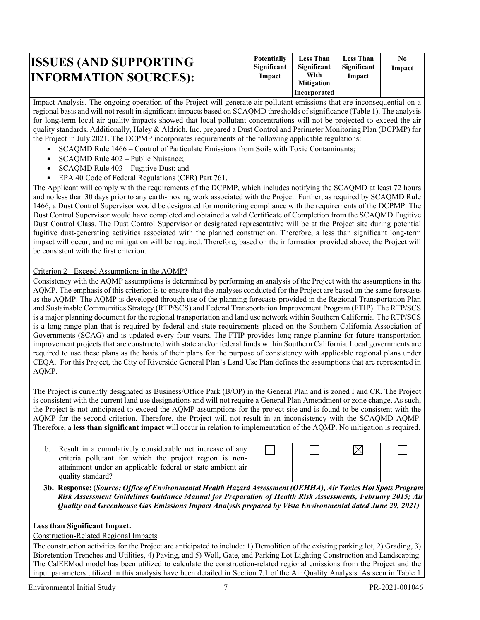| <b>ISSUES (AND SUPPORTING)</b><br><b>INFORMATION SOURCES):</b> | <b>Potentially</b><br>Significant<br>Impact | <b>Less Than</b><br>Significant<br>With<br><b>Mitigation</b> | <b>Less Than</b><br>Significant<br>Impact | N0<br>Impact |
|----------------------------------------------------------------|---------------------------------------------|--------------------------------------------------------------|-------------------------------------------|--------------|
|                                                                |                                             | <b>Incorporated</b>                                          |                                           |              |

Impact Analysis. The ongoing operation of the Project will generate air pollutant emissions that are inconsequential on a regional basis and will not result in significant impacts based on SCAQMD thresholds of significance (Table 1). The analysis for long-term local air quality impacts showed that local pollutant concentrations will not be projected to exceed the air quality standards. Additionally, Haley & Aldrich, Inc. prepared a Dust Control and Perimeter Monitoring Plan (DCPMP) for the Project in July 2021. The DCPMP incorporates requirements of the following applicable regulations:

- SCAQMD Rule 1466 Control of Particulate Emissions from Soils with Toxic Contaminants;
- SCAQMD Rule 402 Public Nuisance;
- SCAQMD Rule 403 Fugitive Dust; and
- EPA 40 Code of Federal Regulations (CFR) Part 761.

The Applicant will comply with the requirements of the DCPMP, which includes notifying the SCAQMD at least 72 hours and no less than 30 days prior to any earth-moving work associated with the Project. Further, as required by SCAQMD Rule 1466, a Dust Control Supervisor would be designated for monitoring compliance with the requirements of the DCPMP. The Dust Control Supervisor would have completed and obtained a valid Certificate of Completion from the SCAQMD Fugitive Dust Control Class. The Dust Control Supervisor or designated representative will be at the Project site during potential fugitive dust-generating activities associated with the planned construction. Therefore, a less than significant long-term impact will occur, and no mitigation will be required. Therefore, based on the information provided above, the Project will be consistent with the first criterion.

#### Criterion 2 - Exceed Assumptions in the AQMP?

Consistency with the AQMP assumptions is determined by performing an analysis of the Project with the assumptions in the AQMP. The emphasis of this criterion is to ensure that the analyses conducted for the Project are based on the same forecasts as the AQMP. The AQMP is developed through use of the planning forecasts provided in the Regional Transportation Plan and Sustainable Communities Strategy (RTP/SCS) and Federal Transportation Improvement Program (FTIP). The RTP/SCS is a major planning document for the regional transportation and land use network within Southern California. The RTP/SCS is a long-range plan that is required by federal and state requirements placed on the Southern California Association of Governments (SCAG) and is updated every four years. The FTIP provides long-range planning for future transportation improvement projects that are constructed with state and/or federal funds within Southern California. Local governments are required to use these plans as the basis of their plans for the purpose of consistency with applicable regional plans under CEQA. For this Project, the City of Riverside General Plan's Land Use Plan defines the assumptions that are represented in AQMP.

The Project is currently designated as Business/Office Park (B/OP) in the General Plan and is zoned I and CR. The Project is consistent with the current land use designations and will not require a General Plan Amendment or zone change. As such, the Project is not anticipated to exceed the AQMP assumptions for the project site and is found to be consistent with the AQMP for the second criterion. Therefore, the Project will not result in an inconsistency with the SCAQMD AQMP. Therefore, a **less than significant impact** will occur in relation to implementation of the AQMP. No mitigation is required.

| b. Result in a cumulatively considerable net increase of any |  |  |
|--------------------------------------------------------------|--|--|
| criteria pollutant for which the project region is non-      |  |  |
| attainment under an applicable federal or state ambient air  |  |  |
| quality standard?                                            |  |  |

**3b. Response: (***Source: Office of Environmental Health Hazard Assessment (OEHHA), Air Toxics Hot Spots Program Risk Assessment Guidelines Guidance Manual for Preparation of Health Risk Assessments, February 2015; Air Quality and Greenhouse Gas Emissions Impact Analysis prepared by Vista Environmental dated June 29, 2021)* 

### **Less than Significant Impact.**

#### Construction-Related Regional Impacts

The construction activities for the Project are anticipated to include: 1) Demolition of the existing parking lot, 2) Grading, 3) Bioretention Trenches and Utilities, 4) Paving, and 5) Wall, Gate, and Parking Lot Lighting Construction and Landscaping. The CalEEMod model has been utilized to calculate the construction-related regional emissions from the Project and the input parameters utilized in this analysis have been detailed in Section 7.1 of the Air Quality Analysis. As seen in Table 1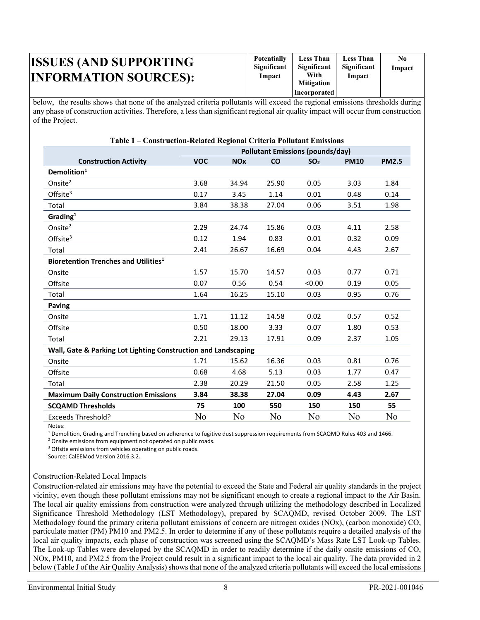| <b>ISSUES (AND SUPPORTING)</b><br><b>INFORMATION SOURCES):</b> | <b>Potentially</b><br>Significant<br>Impact | <b>Less Than</b><br><b>Significant</b><br>With<br><b>Mitigation</b> | <b>Less Than</b><br>Significant<br>Impact | N0<br>Impact |
|----------------------------------------------------------------|---------------------------------------------|---------------------------------------------------------------------|-------------------------------------------|--------------|
|                                                                |                                             | Incorporated                                                        |                                           |              |

below, the results shows that none of the analyzed criteria pollutants will exceed the regional emissions thresholds during any phase of construction activities. Therefore, a less than significant regional air quality impact will occur from construction of the Project.

| Table 1 - Construction-Related Regional Criteria Pollutant Emissions |                                         |                       |              |                 |             |              |  |  |
|----------------------------------------------------------------------|-----------------------------------------|-----------------------|--------------|-----------------|-------------|--------------|--|--|
|                                                                      | <b>Pollutant Emissions (pounds/day)</b> |                       |              |                 |             |              |  |  |
| <b>Construction Activity</b>                                         | <b>VOC</b>                              | <b>NO<sub>x</sub></b> | $\mathbf{C}$ | SO <sub>2</sub> | <b>PM10</b> | <b>PM2.5</b> |  |  |
| Demolition <sup>1</sup>                                              |                                         |                       |              |                 |             |              |  |  |
| Onsite <sup>2</sup>                                                  | 3.68                                    | 34.94                 | 25.90        | 0.05            | 3.03        | 1.84         |  |  |
| Offsite $3$                                                          | 0.17                                    | 3.45                  | 1.14         | 0.01            | 0.48        | 0.14         |  |  |
| Total                                                                | 3.84                                    | 38.38                 | 27.04        | 0.06            | 3.51        | 1.98         |  |  |
| Grading <sup>1</sup>                                                 |                                         |                       |              |                 |             |              |  |  |
| Onsite $2$                                                           | 2.29                                    | 24.74                 | 15.86        | 0.03            | 4.11        | 2.58         |  |  |
| Offsite $3$                                                          | 0.12                                    | 1.94                  | 0.83         | 0.01            | 0.32        | 0.09         |  |  |
| Total                                                                | 2.41                                    | 26.67                 | 16.69        | 0.04            | 4.43        | 2.67         |  |  |
| Bioretention Trenches and Utilities <sup>1</sup>                     |                                         |                       |              |                 |             |              |  |  |
| Onsite                                                               | 1.57                                    | 15.70                 | 14.57        | 0.03            | 0.77        | 0.71         |  |  |
| Offsite                                                              | 0.07                                    | 0.56                  | 0.54         | < 0.00          | 0.19        | 0.05         |  |  |
| Total                                                                | 1.64                                    | 16.25                 | 15.10        | 0.03            | 0.95        | 0.76         |  |  |
| Paving                                                               |                                         |                       |              |                 |             |              |  |  |
| Onsite                                                               | 1.71                                    | 11.12                 | 14.58        | 0.02            | 0.57        | 0.52         |  |  |
| Offsite                                                              | 0.50                                    | 18.00                 | 3.33         | 0.07            | 1.80        | 0.53         |  |  |
| Total                                                                | 2.21                                    | 29.13                 | 17.91        | 0.09            | 2.37        | 1.05         |  |  |
| Wall, Gate & Parking Lot Lighting Construction and Landscaping       |                                         |                       |              |                 |             |              |  |  |
| Onsite                                                               | 1.71                                    | 15.62                 | 16.36        | 0.03            | 0.81        | 0.76         |  |  |
| Offsite                                                              | 0.68                                    | 4.68                  | 5.13         | 0.03            | 1.77        | 0.47         |  |  |
| Total                                                                | 2.38                                    | 20.29                 | 21.50        | 0.05            | 2.58        | 1.25         |  |  |
| <b>Maximum Daily Construction Emissions</b>                          | 3.84                                    | 38.38                 | 27.04        | 0.09            | 4.43        | 2.67         |  |  |
| <b>SCQAMD Thresholds</b>                                             | 75                                      | 100                   | 550          | 150             | 150         | 55           |  |  |
| <b>Exceeds Threshold?</b>                                            | No                                      | No                    | No           | No              | No          | No           |  |  |

Notes:

<sup>1</sup> Demolition, Grading and Trenching based on adherence to fugitive dust suppression requirements from SCAQMD Rules 403 and 1466. <sup>2</sup> Onsite emissions from equipment not operated on public roads.

<sup>3</sup> Offsite emissions from vehicles operating on public roads.

Source: CalEEMod Version 2016.3.2.

#### Construction-Related Local Impacts

Construction-related air emissions may have the potential to exceed the State and Federal air quality standards in the project vicinity, even though these pollutant emissions may not be significant enough to create a regional impact to the Air Basin. The local air quality emissions from construction were analyzed through utilizing the methodology described in Localized Significance Threshold Methodology (LST Methodology), prepared by SCAQMD, revised October 2009. The LST Methodology found the primary criteria pollutant emissions of concern are nitrogen oxides (NOx), (carbon monoxide) CO, particulate matter (PM) PM10 and PM2.5. In order to determine if any of these pollutants require a detailed analysis of the local air quality impacts, each phase of construction was screened using the SCAQMD's Mass Rate LST Look-up Tables. The Look-up Tables were developed by the SCAQMD in order to readily determine if the daily onsite emissions of CO, NOx, PM10, and PM2.5 from the Project could result in a significant impact to the local air quality. The data provided in 2 below (Table J of the Air Quality Analysis) shows that none of the analyzed criteria pollutants will exceed the local emissions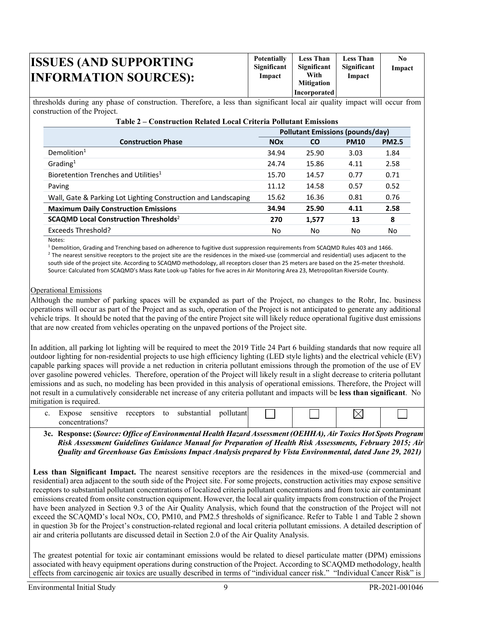| <b>ISSUES (AND SUPPORTING)</b><br><b>INFORMATION SOURCES):</b> | <b>Potentially</b><br>Significant<br>Impact | <b>Less Than</b><br>Significant<br>With<br><b>Mitigation</b><br>Incorporated | <b>Less Than</b><br>Significant<br>Impact | No<br>Impact |
|----------------------------------------------------------------|---------------------------------------------|------------------------------------------------------------------------------|-------------------------------------------|--------------|
|----------------------------------------------------------------|---------------------------------------------|------------------------------------------------------------------------------|-------------------------------------------|--------------|

thresholds during any phase of construction. Therefore, a less than significant local air quality impact will occur from construction of the Project.

|                                                                | Pollutant Emissions (pounds/day) |           |             |              |  |
|----------------------------------------------------------------|----------------------------------|-----------|-------------|--------------|--|
| <b>Construction Phase</b>                                      | <b>NOx</b>                       | <b>CO</b> | <b>PM10</b> | <b>PM2.5</b> |  |
| Demolition <sup>1</sup>                                        | 34.94                            | 25.90     | 3.03        | 1.84         |  |
| Grading <sup>1</sup>                                           | 24.74                            | 15.86     | 4.11        | 2.58         |  |
| Bioretention Trenches and Utilities <sup>1</sup>               | 15.70                            | 14.57     | 0.77        | 0.71         |  |
| Paving                                                         | 11.12                            | 14.58     | 0.57        | 0.52         |  |
| Wall, Gate & Parking Lot Lighting Construction and Landscaping | 15.62                            | 16.36     | 0.81        | 0.76         |  |
| <b>Maximum Daily Construction Emissions</b>                    | 34.94                            | 25.90     | 4.11        | 2.58         |  |
| SCAQMD Local Construction Thresholds <sup>2</sup>              | 270                              | 1,577     | 13          | 8            |  |
| Exceeds Threshold?                                             | No.                              | No        | No.         | No           |  |

Notes:

<sup>1</sup> Demolition, Grading and Trenching based on adherence to fugitive dust suppression requirements from SCAQMD Rules 403 and 1466.<br><sup>2</sup> The nearest sensitive receptors to the project site are the residences in the mixed-us south side of the project site. According to SCAQMD methodology, all receptors closer than 25 meters are based on the 25-meter threshold. Source: Calculated from SCAQMD's Mass Rate Look-up Tables for five acres in Air Monitoring Area 23, Metropolitan Riverside County.

#### Operational Emissions

Although the number of parking spaces will be expanded as part of the Project, no changes to the Rohr, Inc. business operations will occur as part of the Project and as such, operation of the Project is not anticipated to generate any additional vehicle trips. It should be noted that the paving of the entire Project site will likely reduce operational fugitive dust emissions that are now created from vehicles operating on the unpaved portions of the Project site.

In addition, all parking lot lighting will be required to meet the 2019 Title 24 Part 6 building standards that now require all outdoor lighting for non-residential projects to use high efficiency lighting (LED style lights) and the electrical vehicle (EV) capable parking spaces will provide a net reduction in criteria pollutant emissions through the promotion of the use of EV over gasoline powered vehicles. Therefore, operation of the Project will likely result in a slight decrease to criteria pollutant emissions and as such, no modeling has been provided in this analysis of operational emissions. Therefore, the Project will not result in a cumulatively considerable net increase of any criteria pollutant and impacts will be **less than significant**. No mitigation is required.

| '.xnose         | sensitive | receptors | to | substantial | no. |  | ., |  |
|-----------------|-----------|-----------|----|-------------|-----|--|----|--|
| concentrations) |           |           |    |             |     |  |    |  |

**3c. Response: (***Source: Office of Environmental Health Hazard Assessment (OEHHA), Air Toxics Hot Spots Program Risk Assessment Guidelines Guidance Manual for Preparation of Health Risk Assessments, February 2015; Air Quality and Greenhouse Gas Emissions Impact Analysis prepared by Vista Environmental, dated June 29, 2021)* 

Less than Significant Impact. The nearest sensitive receptors are the residences in the mixed-use (commercial and residential) area adjacent to the south side of the Project site. For some projects, construction activities may expose sensitive receptors to substantial pollutant concentrations of localized criteria pollutant concentrations and from toxic air contaminant emissions created from onsite construction equipment. However, the local air quality impacts from construction of the Project have been analyzed in Section 9.3 of the Air Quality Analysis, which found that the construction of the Project will not exceed the SCAQMD's local NOx, CO, PM10, and PM2.5 thresholds of significance. Refer to Table 1 and Table 2 shown in question 3b for the Project's construction-related regional and local criteria pollutant emissions. A detailed description of air and criteria pollutants are discussed detail in Section 2.0 of the Air Quality Analysis.

The greatest potential for toxic air contaminant emissions would be related to diesel particulate matter (DPM) emissions associated with heavy equipment operations during construction of the Project. According to SCAQMD methodology, health effects from carcinogenic air toxics are usually described in terms of "individual cancer risk." "Individual Cancer Risk" is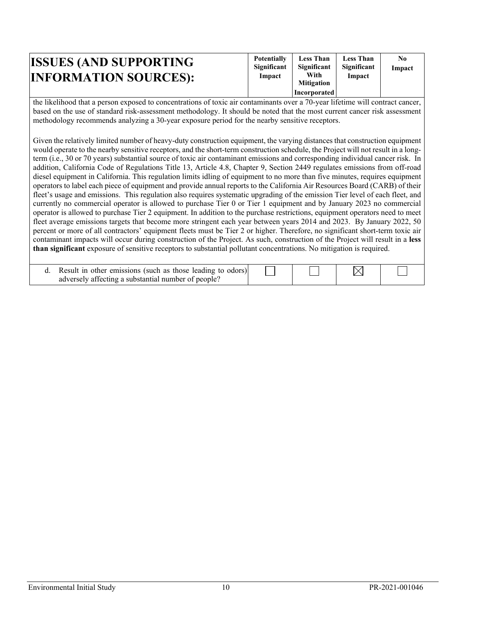| <b>ISSUES (AND SUPPORTING)</b><br><b>INFORMATION SOURCES):</b> | <b>Potentially</b><br>Significant<br>Impact | <b>Less Than</b><br>Significant<br>With<br><b>Mitigation</b> | <b>Less Than</b><br>Significant<br>Impact | N0<br>Impact |
|----------------------------------------------------------------|---------------------------------------------|--------------------------------------------------------------|-------------------------------------------|--------------|
|                                                                |                                             | <b>Incorporated</b>                                          |                                           |              |

the likelihood that a person exposed to concentrations of toxic air contaminants over a 70-year lifetime will contract cancer, based on the use of standard risk-assessment methodology. It should be noted that the most current cancer risk assessment methodology recommends analyzing a 30-year exposure period for the nearby sensitive receptors.

Given the relatively limited number of heavy-duty construction equipment, the varying distances that construction equipment would operate to the nearby sensitive receptors, and the short-term construction schedule, the Project will not result in a longterm (i.e., 30 or 70 years) substantial source of toxic air contaminant emissions and corresponding individual cancer risk. In addition, California Code of Regulations Title 13, Article 4.8, Chapter 9, Section 2449 regulates emissions from off-road diesel equipment in California. This regulation limits idling of equipment to no more than five minutes, requires equipment operators to label each piece of equipment and provide annual reports to the California Air Resources Board (CARB) of their fleet's usage and emissions. This regulation also requires systematic upgrading of the emission Tier level of each fleet, and currently no commercial operator is allowed to purchase Tier 0 or Tier 1 equipment and by January 2023 no commercial operator is allowed to purchase Tier 2 equipment. In addition to the purchase restrictions, equipment operators need to meet fleet average emissions targets that become more stringent each year between years 2014 and 2023. By January 2022, 50 percent or more of all contractors' equipment fleets must be Tier 2 or higher. Therefore, no significant short-term toxic air contaminant impacts will occur during construction of the Project. As such, construction of the Project will result in a **less than significant** exposure of sensitive receptors to substantial pollutant concentrations. No mitigation is required.

| Result in other emissions (such as those leading to odors) |  |  |
|------------------------------------------------------------|--|--|
| adversely affecting a substantial number of people?        |  |  |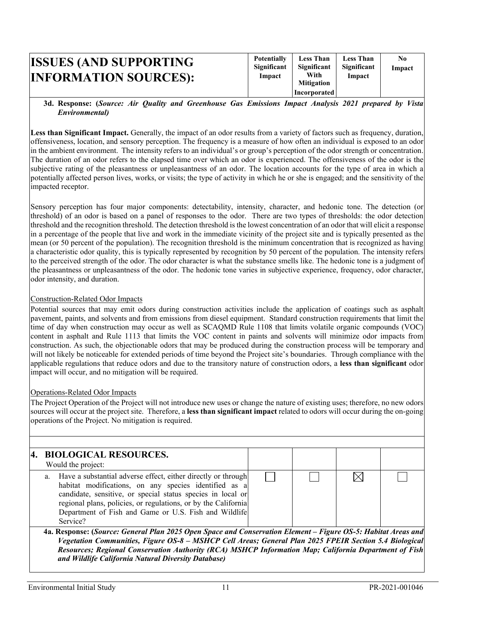| <b>ISSUES (AND SUPPORTING)</b><br><b>INFORMATION SOURCES):</b> | <b>Potentially</b><br>Significant<br>Impact | <b>Less Than</b><br>Significant<br>With<br><b>Mitigation</b> | <b>Less Than</b><br>Significant<br>Impact | N0<br>Impact |
|----------------------------------------------------------------|---------------------------------------------|--------------------------------------------------------------|-------------------------------------------|--------------|
|                                                                |                                             | <b>Incorporated</b>                                          |                                           |              |

#### **3d. Response: (***Source: Air Quality and Greenhouse Gas Emissions Impact Analysis 2021 prepared by Vista Environmental)*

**Less than Significant Impact.** Generally, the impact of an odor results from a variety of factors such as frequency, duration, offensiveness, location, and sensory perception. The frequency is a measure of how often an individual is exposed to an odor in the ambient environment. The intensity refers to an individual's or group's perception of the odor strength or concentration. The duration of an odor refers to the elapsed time over which an odor is experienced. The offensiveness of the odor is the subjective rating of the pleasantness or unpleasantness of an odor. The location accounts for the type of area in which a potentially affected person lives, works, or visits; the type of activity in which he or she is engaged; and the sensitivity of the impacted receptor.

Sensory perception has four major components: detectability, intensity, character, and hedonic tone. The detection (or threshold) of an odor is based on a panel of responses to the odor. There are two types of thresholds: the odor detection threshold and the recognition threshold. The detection threshold is the lowest concentration of an odor that will elicit a response in a percentage of the people that live and work in the immediate vicinity of the project site and is typically presented as the mean (or 50 percent of the population). The recognition threshold is the minimum concentration that is recognized as having a characteristic odor quality, this is typically represented by recognition by 50 percent of the population. The intensity refers to the perceived strength of the odor. The odor character is what the substance smells like. The hedonic tone is a judgment of the pleasantness or unpleasantness of the odor. The hedonic tone varies in subjective experience, frequency, odor character, odor intensity, and duration.

### Construction-Related Odor Impacts

Potential sources that may emit odors during construction activities include the application of coatings such as asphalt pavement, paints, and solvents and from emissions from diesel equipment. Standard construction requirements that limit the time of day when construction may occur as well as SCAQMD Rule 1108 that limits volatile organic compounds (VOC) content in asphalt and Rule 1113 that limits the VOC content in paints and solvents will minimize odor impacts from construction. As such, the objectionable odors that may be produced during the construction process will be temporary and will not likely be noticeable for extended periods of time beyond the Project site's boundaries. Through compliance with the applicable regulations that reduce odors and due to the transitory nature of construction odors, a **less than significant** odor impact will occur, and no mitigation will be required.

#### Operations-Related Odor Impacts

The Project Operation of the Project will not introduce new uses or change the nature of existing uses; therefore, no new odors sources will occur at the project site. Therefore, a **less than significant impact** related to odors will occur during the on-going operations of the Project. No mitigation is required.

| 4. BIOLOGICAL RESOURCES.<br>Would the project:                                                                                                                                                                                                                                                                                  |        |    |  |
|---------------------------------------------------------------------------------------------------------------------------------------------------------------------------------------------------------------------------------------------------------------------------------------------------------------------------------|--------|----|--|
| a. Have a substantial adverse effect, either directly or through<br>habitat modifications, on any species identified as a<br>candidate, sensitive, or special status species in local or<br>regional plans, policies, or regulations, or by the California<br>Department of Fish and Game or U.S. Fish and Wildlife<br>Service? |        |    |  |
| $\sim$<br>$\sim$<br>$\sim$<br>$\sim$<br>$\cdots$                                                                                                                                                                                                                                                                                | $\sim$ | -- |  |

**4a. Response: (***Source: General Plan 2025 Open Space and Conservation Element – Figure OS-5: Habitat Areas and Vegetation Communities, Figure OS-8 – MSHCP Cell Areas; General Plan 2025 FPEIR Section 5.4 Biological Resources; Regional Conservation Authority (RCA) MSHCP Information Map; California Department of Fish and Wildlife California Natural Diversity Database)*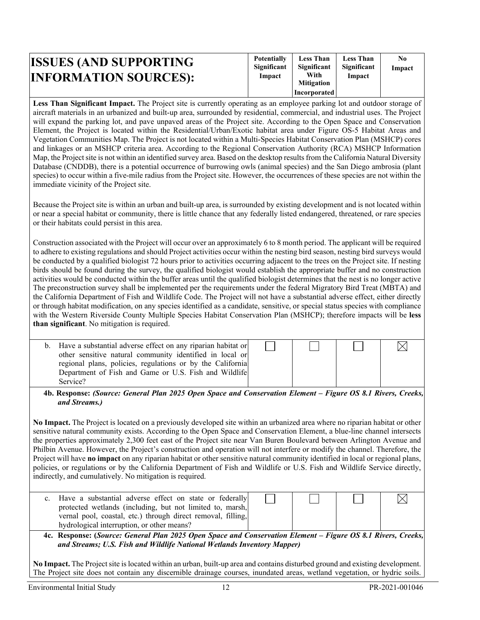| <b>ISSUES (AND SUPPORTING</b><br><b>INFORMATION SOURCES):</b> | <b>Potentially</b><br>Significant<br>Impact | <b>Less Than</b><br>Significant<br>With<br><b>Mitigation</b> | <b>Less Than</b><br>Significant<br>Impact | N0<br>Impact |
|---------------------------------------------------------------|---------------------------------------------|--------------------------------------------------------------|-------------------------------------------|--------------|
|                                                               |                                             | Incorporated                                                 |                                           |              |

**Less Than Significant Impact.** The Project site is currently operating as an employee parking lot and outdoor storage of aircraft materials in an urbanized and built-up area, surrounded by residential, commercial, and industrial uses. The Project will expand the parking lot, and pave unpaved areas of the Project site. According to the Open Space and Conservation Element, the Project is located within the Residential/Urban/Exotic habitat area under Figure OS-5 Habitat Areas and Vegetation Communities Map. The Project is not located within a Multi-Species Habitat Conservation Plan (MSHCP) cores and linkages or an MSHCP criteria area. According to the Regional Conservation Authority (RCA) MSHCP Information Map, the Project site is not within an identified survey area. Based on the desktop results from the California Natural Diversity Database (CNDDB), there is a potential occurrence of burrowing owls (animal species) and the San Diego ambrosia (plant species) to occur within a five-mile radius from the Project site. However, the occurrences of these species are not within the immediate vicinity of the Project site.

Because the Project site is within an urban and built-up area, is surrounded by existing development and is not located within or near a special habitat or community, there is little chance that any federally listed endangered, threatened, or rare species or their habitats could persist in this area.

Construction associated with the Project will occur over an approximately 6 to 8 month period. The applicant will be required to adhere to existing regulations and should Project activities occur within the nesting bird season, nesting bird surveys would be conducted by a qualified biologist 72 hours prior to activities occurring adjacent to the trees on the Project site. If nesting birds should be found during the survey, the qualified biologist would establish the appropriate buffer and no construction activities would be conducted within the buffer areas until the qualified biologist determines that the nest is no longer active The preconstruction survey shall be implemented per the requirements under the federal Migratory Bird Treat (MBTA) and the California Department of Fish and Wildlife Code. The Project will not have a substantial adverse effect, either directly or through habitat modification, on any species identified as a candidate, sensitive, or special status species with compliance with the Western Riverside County Multiple Species Habitat Conservation Plan (MSHCP); therefore impacts will be **less than significant**. No mitigation is required.

| b. Have a substantial adverse effect on any riparian habitat or |  |  |
|-----------------------------------------------------------------|--|--|
| other sensitive natural community identified in local or        |  |  |
| regional plans, policies, regulations or by the California      |  |  |
| Department of Fish and Game or U.S. Fish and Wildlife           |  |  |
| Service?                                                        |  |  |

**4b. Response:** *(Source: General Plan 2025 Open Space and Conservation Element – Figure OS 8.1 Rivers, Creeks, and Streams.)* 

**No Impact.** The Project is located on a previously developed site within an urbanized area where no riparian habitat or other sensitive natural community exists. According to the Open Space and Conservation Element, a blue-line channel intersects the properties approximately 2,300 feet east of the Project site near Van Buren Boulevard between Arlington Avenue and Philbin Avenue. However, the Project's construction and operation will not interfere or modify the channel. Therefore, the Project will have **no impact** on any riparian habitat or other sensitive natural community identified in local or regional plans, policies, or regulations or by the California Department of Fish and Wildlife or U.S. Fish and Wildlife Service directly, indirectly, and cumulatively. No mitigation is required.

| c. Have a substantial adverse effect on state or federally   |  |  |
|--------------------------------------------------------------|--|--|
| protected wetlands (including, but not limited to, marsh,    |  |  |
| vernal pool, coastal, etc.) through direct removal, filling, |  |  |
| hydrological interruption, or other means?                   |  |  |

**4c. Response: (***Source: General Plan 2025 Open Space and Conservation Element – Figure OS 8.1 Rivers, Creeks, and Streams; U.S. Fish and Wildlife National Wetlands Inventory Mapper)* 

**No Impact.** The Project site is located within an urban, built-up area and contains disturbed ground and existing development. The Project site does not contain any discernible drainage courses, inundated areas, wetland vegetation, or hydric soils.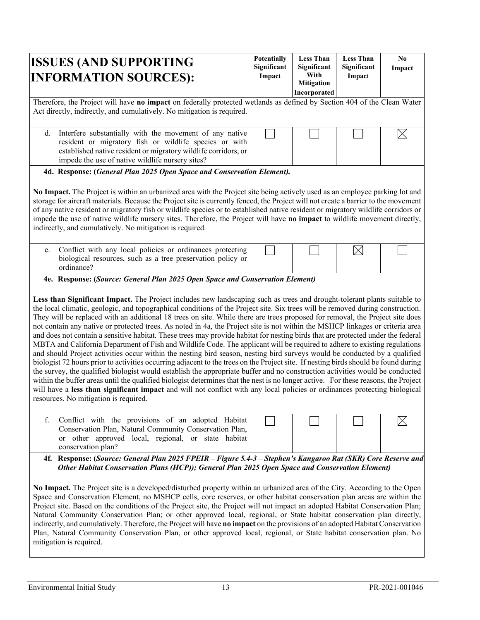| <b>ISSUES (AND SUPPORTING</b><br><b>INFORMATION SOURCES):</b>                                                                                                                                                                                                                                                                                                                                                                                                                                                                                                                                                                                                                                                                                                                                                                                                                                                                                                                                                                                                                                                                                                                                                                                                                                                                                                                                                                                                                                                   | <b>Potentially</b><br>Significant<br>Impact | <b>Less Than</b><br>Significant<br>With<br><b>Mitigation</b><br>Incorporated | <b>Less Than</b><br>Significant<br>Impact | N <sub>0</sub><br>Impact |  |  |
|-----------------------------------------------------------------------------------------------------------------------------------------------------------------------------------------------------------------------------------------------------------------------------------------------------------------------------------------------------------------------------------------------------------------------------------------------------------------------------------------------------------------------------------------------------------------------------------------------------------------------------------------------------------------------------------------------------------------------------------------------------------------------------------------------------------------------------------------------------------------------------------------------------------------------------------------------------------------------------------------------------------------------------------------------------------------------------------------------------------------------------------------------------------------------------------------------------------------------------------------------------------------------------------------------------------------------------------------------------------------------------------------------------------------------------------------------------------------------------------------------------------------|---------------------------------------------|------------------------------------------------------------------------------|-------------------------------------------|--------------------------|--|--|
| Therefore, the Project will have no impact on federally protected wetlands as defined by Section 404 of the Clean Water<br>Act directly, indirectly, and cumulatively. No mitigation is required.                                                                                                                                                                                                                                                                                                                                                                                                                                                                                                                                                                                                                                                                                                                                                                                                                                                                                                                                                                                                                                                                                                                                                                                                                                                                                                               |                                             |                                                                              |                                           |                          |  |  |
| Interfere substantially with the movement of any native<br>d.<br>resident or migratory fish or wildlife species or with<br>established native resident or migratory wildlife corridors, or<br>impede the use of native wildlife nursery sites?                                                                                                                                                                                                                                                                                                                                                                                                                                                                                                                                                                                                                                                                                                                                                                                                                                                                                                                                                                                                                                                                                                                                                                                                                                                                  |                                             |                                                                              |                                           | $\boxtimes$              |  |  |
| 4d. Response: (General Plan 2025 Open Space and Conservation Element).                                                                                                                                                                                                                                                                                                                                                                                                                                                                                                                                                                                                                                                                                                                                                                                                                                                                                                                                                                                                                                                                                                                                                                                                                                                                                                                                                                                                                                          |                                             |                                                                              |                                           |                          |  |  |
| No Impact. The Project is within an urbanized area with the Project site being actively used as an employee parking lot and<br>storage for aircraft materials. Because the Project site is currently fenced, the Project will not create a barrier to the movement<br>of any native resident or migratory fish or wildlife species or to established native resident or migratory wildlife corridors or<br>impede the use of native wildlife nursery sites. Therefore, the Project will have no impact to wildlife movement directly,<br>indirectly, and cumulatively. No mitigation is required.                                                                                                                                                                                                                                                                                                                                                                                                                                                                                                                                                                                                                                                                                                                                                                                                                                                                                                               |                                             |                                                                              |                                           |                          |  |  |
| Conflict with any local policies or ordinances protecting<br>e.<br>biological resources, such as a tree preservation policy or<br>ordinance?                                                                                                                                                                                                                                                                                                                                                                                                                                                                                                                                                                                                                                                                                                                                                                                                                                                                                                                                                                                                                                                                                                                                                                                                                                                                                                                                                                    |                                             |                                                                              | $\boxtimes$                               |                          |  |  |
| 4e. Response: (Source: General Plan 2025 Open Space and Conservation Element)                                                                                                                                                                                                                                                                                                                                                                                                                                                                                                                                                                                                                                                                                                                                                                                                                                                                                                                                                                                                                                                                                                                                                                                                                                                                                                                                                                                                                                   |                                             |                                                                              |                                           |                          |  |  |
| Less than Significant Impact. The Project includes new landscaping such as trees and drought-tolerant plants suitable to<br>the local climatic, geologic, and topographical conditions of the Project site. Six trees will be removed during construction.<br>They will be replaced with an additional 18 trees on site. While there are trees proposed for removal, the Project site does<br>not contain any native or protected trees. As noted in 4a, the Project site is not within the MSHCP linkages or criteria area<br>and does not contain a sensitive habitat. These trees may provide habitat for nesting birds that are protected under the federal<br>MBTA and California Department of Fish and Wildlife Code. The applicant will be required to adhere to existing regulations<br>and should Project activities occur within the nesting bird season, nesting bird surveys would be conducted by a qualified<br>biologist 72 hours prior to activities occurring adjacent to the trees on the Project site. If nesting birds should be found during<br>the survey, the qualified biologist would establish the appropriate buffer and no construction activities would be conducted<br>within the buffer areas until the qualified biologist determines that the nest is no longer active. For these reasons, the Project<br>will have a less than significant impact and will not conflict with any local policies or ordinances protecting biological<br>resources. No mitigation is required. |                                             |                                                                              |                                           |                          |  |  |
| f.<br>Conflict with the provisions of an adopted Habitat<br>Conservation Plan, Natural Community Conservation Plan,<br>or other approved local, regional, or state habitat<br>conservation plan?                                                                                                                                                                                                                                                                                                                                                                                                                                                                                                                                                                                                                                                                                                                                                                                                                                                                                                                                                                                                                                                                                                                                                                                                                                                                                                                |                                             |                                                                              |                                           |                          |  |  |
| 4f. Response: (Source: General Plan 2025 FPEIR - Figure 5.4-3 - Stephen's Kangaroo Rat (SKR) Core Reserve and<br>Other Habitat Conservation Plans (HCP)); General Plan 2025 Open Space and Conservation Element)                                                                                                                                                                                                                                                                                                                                                                                                                                                                                                                                                                                                                                                                                                                                                                                                                                                                                                                                                                                                                                                                                                                                                                                                                                                                                                |                                             |                                                                              |                                           |                          |  |  |

**No Impact.** The Project site is a developed/disturbed property within an urbanized area of the City. According to the Open Space and Conservation Element, no MSHCP cells, core reserves, or other habitat conservation plan areas are within the Project site. Based on the conditions of the Project site, the Project will not impact an adopted Habitat Conservation Plan; Natural Community Conservation Plan; or other approved local, regional, or State habitat conservation plan directly, indirectly, and cumulatively. Therefore, the Project will have **no impact** on the provisions of an adopted Habitat Conservation Plan, Natural Community Conservation Plan, or other approved local, regional, or State habitat conservation plan. No mitigation is required.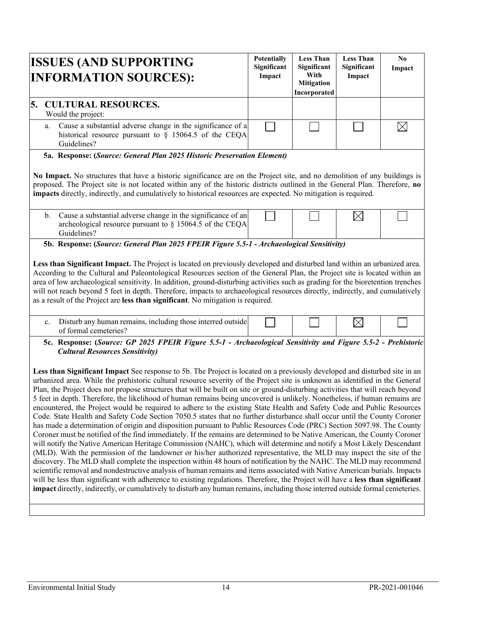| <b>ISSUES (AND SUPPORTING</b><br><b>INFORMATION SOURCES):</b>                                                                                                                                                                                                                                                                                                                                                                                                                                                                                                                                                                                                                                                                                                                                                                                                                                                                                                                                                                                                                                                                                                                                                                                                                                                                                                                                                                                                                                                                                                                                                                                                                         | <b>Potentially</b><br>Significant<br>Impact | <b>Less Than</b><br>Significant<br>With<br><b>Mitigation</b><br>Incorporated | <b>Less Than</b><br>Significant<br>Impact | No.<br>Impact |
|---------------------------------------------------------------------------------------------------------------------------------------------------------------------------------------------------------------------------------------------------------------------------------------------------------------------------------------------------------------------------------------------------------------------------------------------------------------------------------------------------------------------------------------------------------------------------------------------------------------------------------------------------------------------------------------------------------------------------------------------------------------------------------------------------------------------------------------------------------------------------------------------------------------------------------------------------------------------------------------------------------------------------------------------------------------------------------------------------------------------------------------------------------------------------------------------------------------------------------------------------------------------------------------------------------------------------------------------------------------------------------------------------------------------------------------------------------------------------------------------------------------------------------------------------------------------------------------------------------------------------------------------------------------------------------------|---------------------------------------------|------------------------------------------------------------------------------|-------------------------------------------|---------------|
| <b>CULTURAL RESOURCES.</b><br>5.<br>Would the project:                                                                                                                                                                                                                                                                                                                                                                                                                                                                                                                                                                                                                                                                                                                                                                                                                                                                                                                                                                                                                                                                                                                                                                                                                                                                                                                                                                                                                                                                                                                                                                                                                                |                                             |                                                                              |                                           |               |
| Cause a substantial adverse change in the significance of a<br>a.<br>historical resource pursuant to $\S$ 15064.5 of the CEQA<br>Guidelines?                                                                                                                                                                                                                                                                                                                                                                                                                                                                                                                                                                                                                                                                                                                                                                                                                                                                                                                                                                                                                                                                                                                                                                                                                                                                                                                                                                                                                                                                                                                                          |                                             |                                                                              |                                           | $\boxtimes$   |
| 5a. Response: (Source: General Plan 2025 Historic Preservation Element)<br>No Impact. No structures that have a historic significance are on the Project site, and no demolition of any buildings is<br>proposed. The Project site is not located within any of the historic districts outlined in the General Plan. Therefore, no<br>impacts directly, indirectly, and cumulatively to historical resources are expected. No mitigation is required.                                                                                                                                                                                                                                                                                                                                                                                                                                                                                                                                                                                                                                                                                                                                                                                                                                                                                                                                                                                                                                                                                                                                                                                                                                 |                                             |                                                                              |                                           |               |
| Cause a substantial adverse change in the significance of an<br>b.<br>archeological resource pursuant to $\S$ 15064.5 of the CEQA<br>Guidelines?                                                                                                                                                                                                                                                                                                                                                                                                                                                                                                                                                                                                                                                                                                                                                                                                                                                                                                                                                                                                                                                                                                                                                                                                                                                                                                                                                                                                                                                                                                                                      |                                             |                                                                              | $\boxtimes$                               |               |
| According to the Cultural and Paleontological Resources section of the General Plan, the Project site is located within an<br>area of low archaeological sensitivity. In addition, ground-disturbing activities such as grading for the bioretention trenches<br>will not reach beyond 5 feet in depth. Therefore, impacts to archaeological resources directly, indirectly, and cumulatively<br>as a result of the Project are less than significant. No mitigation is required.<br>Disturb any human remains, including those interred outside<br>c.                                                                                                                                                                                                                                                                                                                                                                                                                                                                                                                                                                                                                                                                                                                                                                                                                                                                                                                                                                                                                                                                                                                                |                                             |                                                                              | $\boxtimes$                               |               |
| of formal cemeteries?<br>5c. Response: (Source: GP 2025 FPEIR Figure 5.5-1 - Archaeological Sensitivity and Figure 5.5-2 - Prehistoric<br><b>Cultural Resources Sensitivity)</b><br>Less than Significant Impact See response to 5b. The Project is located on a previously developed and disturbed site in an                                                                                                                                                                                                                                                                                                                                                                                                                                                                                                                                                                                                                                                                                                                                                                                                                                                                                                                                                                                                                                                                                                                                                                                                                                                                                                                                                                        |                                             |                                                                              |                                           |               |
| urbanized area. While the prehistoric cultural resource severity of the Project site is unknown as identified in the General<br>Plan, the Project does not propose structures that will be built on site or ground-disturbing activities that will reach beyond<br>5 feet in depth. Therefore, the likelihood of human remains being uncovered is unlikely. Nonetheless, if human remains are<br>encountered, the Project would be required to adhere to the existing State Health and Safety Code and Public Resources<br>Code. State Health and Safety Code Section 7050.5 states that no further disturbance shall occur until the County Coroner<br>has made a determination of origin and disposition pursuant to Public Resources Code (PRC) Section 5097.98. The County<br>Coroner must be notified of the find immediately. If the remains are determined to be Native American, the County Coroner<br>will notify the Native American Heritage Commission (NAHC), which will determine and notify a Most Likely Descendant<br>(MLD). With the permission of the landowner or his/her authorized representative, the MLD may inspect the site of the<br>discovery. The MLD shall complete the inspection within 48 hours of notification by the NAHC. The MLD may recommend<br>scientific removal and nondestructive analysis of human remains and items associated with Native American burials. Impacts<br>will be less than significant with adherence to existing regulations. Therefore, the Project will have a less than significant<br>impact directly, indirectly, or cumulatively to disturb any human remains, including those interred outside formal cemeteries. |                                             |                                                                              |                                           |               |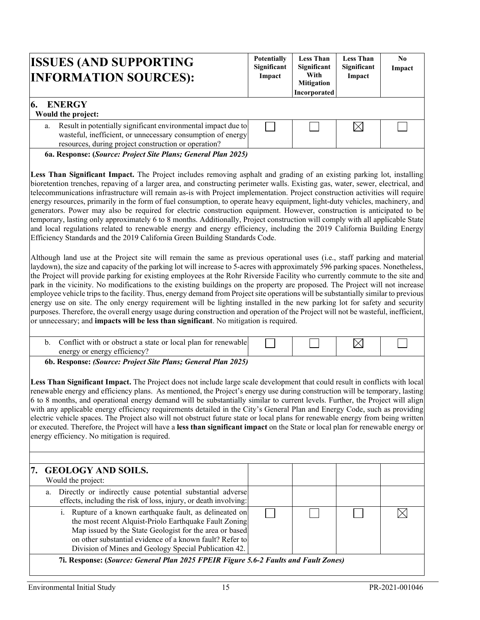| <b>ISSUES (AND SUPPORTING</b><br><b>INFORMATION SOURCES):</b>                                                                                                                              | <b>Potentially</b><br>Significant<br>Impact | <b>Less Than</b><br>Significant<br>With<br><b>Mitigation</b><br>Incorporated | <b>Less Than</b><br>Significant<br>Impact | N <sub>0</sub><br>Impact |
|--------------------------------------------------------------------------------------------------------------------------------------------------------------------------------------------|---------------------------------------------|------------------------------------------------------------------------------|-------------------------------------------|--------------------------|
| <b>ENERGY</b><br>Would the project:                                                                                                                                                        |                                             |                                                                              |                                           |                          |
| Result in potentially significant environmental impact due to<br>a.<br>wasteful, inefficient, or unnecessary consumption of energy<br>resources, during project construction or operation? |                                             |                                                                              | $\boxtimes$                               |                          |
| 6a. Response: (Source: Project Site Plans; General Plan 2025)                                                                                                                              |                                             |                                                                              |                                           |                          |

**Less Than Significant Impact.** The Project includes removing asphalt and grading of an existing parking lot, installing bioretention trenches, repaving of a larger area, and constructing perimeter walls. Existing gas, water, sewer, electrical, and telecommunications infrastructure will remain as-is with Project implementation. Project construction activities will require energy resources, primarily in the form of fuel consumption, to operate heavy equipment, light-duty vehicles, machinery, and generators. Power may also be required for electric construction equipment. However, construction is anticipated to be temporary, lasting only approximately 6 to 8 months. Additionally, Project construction will comply with all applicable State and local regulations related to renewable energy and energy efficiency, including the 2019 California Building Energy Efficiency Standards and the 2019 California Green Building Standards Code.

Although land use at the Project site will remain the same as previous operational uses (i.e., staff parking and material laydown), the size and capacity of the parking lot will increase to 5-acres with approximately 596 parking spaces. Nonetheless, the Project will provide parking for existing employees at the Rohr Riverside Facility who currently commute to the site and park in the vicinity. No modifications to the existing buildings on the property are proposed. The Project will not increase employee vehicle trips to the facility. Thus, energy demand from Project site operations will be substantially similar to previous energy use on site. The only energy requirement will be lighting installed in the new parking lot for safety and security purposes. Therefore, the overall energy usage during construction and operation of the Project will not be wasteful, inefficient, or unnecessary; and **impacts will be less than significant**. No mitigation is required.

|  |  | Conflict with or obstruct a state or local plan for renewable<br>enerov<br>energy |  |  |  |  |
|--|--|-----------------------------------------------------------------------------------|--|--|--|--|
|--|--|-----------------------------------------------------------------------------------|--|--|--|--|

**6b. Response:** *(Source: Project Site Plans; General Plan 2025)*

**Less Than Significant Impact.** The Project does not include large scale development that could result in conflicts with local renewable energy and efficiency plans. As mentioned, the Project's energy use during construction will be temporary, lasting 6 to 8 months, and operational energy demand will be substantially similar to current levels. Further, the Project will align with any applicable energy efficiency requirements detailed in the City's General Plan and Energy Code, such as providing electric vehicle spaces. The Project also will not obstruct future state or local plans for renewable energy from being written or executed. Therefore, the Project will have a **less than significant impact** on the State or local plan for renewable energy or energy efficiency. No mitigation is required.

| 7. GEOLOGY AND SOILS.                                                                                                                                                                                                                                                                              |  |  |  |  |  |  |
|----------------------------------------------------------------------------------------------------------------------------------------------------------------------------------------------------------------------------------------------------------------------------------------------------|--|--|--|--|--|--|
| Would the project:                                                                                                                                                                                                                                                                                 |  |  |  |  |  |  |
| a. Directly or indirectly cause potential substantial adverse<br>effects, including the risk of loss, injury, or death involving:                                                                                                                                                                  |  |  |  |  |  |  |
| i. Rupture of a known earthquake fault, as delineated on<br>the most recent Alquist-Priolo Earthquake Fault Zoning<br>Map issued by the State Geologist for the area or based<br>on other substantial evidence of a known fault? Refer to<br>Division of Mines and Geology Special Publication 42. |  |  |  |  |  |  |
| $\mathcal{I}$ : Demonso (Course Council Dlan 2025 EDEID Eigens 5.6.2 Early and Early Zone)                                                                                                                                                                                                         |  |  |  |  |  |  |

 **7i. Response: (***Source: General Plan 2025 FPEIR Figure 5.6-2 Faults and Fault Zones)*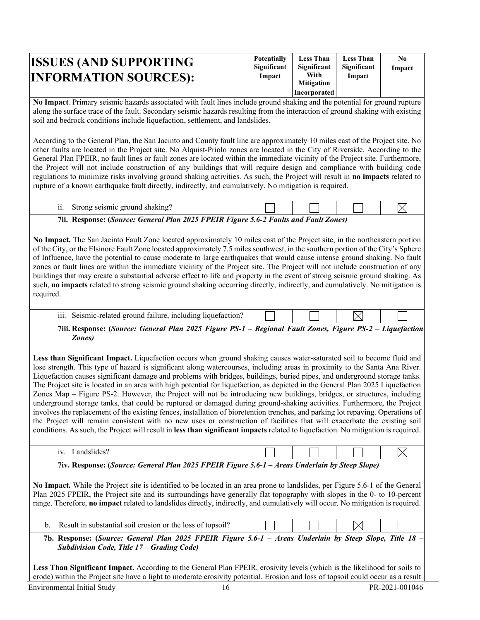| <b>ISSUES (AND SUPPORTING)</b><br><b>INFORMATION SOURCES):</b> | <b>Potentially</b><br>Significant<br>Impact | <b>Less Than</b><br>Significant<br>With<br><b>Mitigation</b><br>Incorporated | <b>Less Than</b><br>Significant<br>Impact | N0<br>Impact |
|----------------------------------------------------------------|---------------------------------------------|------------------------------------------------------------------------------|-------------------------------------------|--------------|
|----------------------------------------------------------------|---------------------------------------------|------------------------------------------------------------------------------|-------------------------------------------|--------------|

**No Impact***.* Primary seismic hazards associated with fault lines include ground shaking and the potential for ground rupture along the surface trace of the fault. Secondary seismic hazards resulting from the interaction of ground shaking with existing soil and bedrock conditions include liquefaction, settlement, and landslides.

According to the General Plan, the San Jacinto and County fault line are approximately 10 miles east of the Project site. No other faults are located in the Project site. No Alquist-Priolo zones are located in the City of Riverside. According to the General Plan FPEIR, no fault lines or fault zones are located within the immediate vicinity of the Project site. Furthermore, the Project will not include construction of any buildings that will require design and compliance with building code regulations to minimize risks involving ground shaking activities. As such, the Project will result in **no impacts** related to rupture of a known earthquake fault directly, indirectly, and cumulatively. No mitigation is required.

| - 44<br>Strong seismic ground shaking?                                                  |  |  |  |  |  |  |
|-----------------------------------------------------------------------------------------|--|--|--|--|--|--|
| 7ii.<br>Response: (Source: General Plan 2025 FPEIR Figure 5.6-2 Faults and Fault Zones) |  |  |  |  |  |  |

**No Impact.** The San Jacinto Fault Zone located approximately 10 miles east of the Project site, in the northeastern portion of the City, or the Elsinore Fault Zone located approximately 7.5 miles southwest, in the southern portion of the City's Sphere of Influence, have the potential to cause moderate to large earthquakes that would cause intense ground shaking. No fault zones or fault lines are within the immediate vicinity of the Project site. The Project will not include construction of any buildings that may create a substantial adverse effect to life and property in the event of strong seismic ground shaking. As such, **no impacts** related to strong seismic ground shaking occurring directly, indirectly, and cumulatively. No mitigation is required.

| iii<br>$or$ $\alpha$<br>- includino<br>nd<br>,,,,,,,<br>. н |  |  |
|-------------------------------------------------------------|--|--|
|                                                             |  |  |

**7iii. Response: (***Source: General Plan 2025 Figure PS-1 – Regional Fault Zones, Figure PS-2 – Liquefaction Zones)*

**Less than Significant Impact.** Liquefaction occurs when ground shaking causes water-saturated soil to become fluid and lose strength. This type of hazard is significant along watercourses, including areas in proximity to the Santa Ana River. Liquefaction causes significant damage and problems with bridges, buildings, buried pipes, and underground storage tanks. The Project site is located in an area with high potential for liquefaction, as depicted in the General Plan 2025 Liquefaction Zones Map – Figure PS-2. However, the Project will not be introducing new buildings, bridges, or structures, including underground storage tanks, that could be ruptured or damaged during ground-shaking activities. Furthermore, the Project involves the replacement of the existing fences, installation of bioretention trenches, and parking lot repaving. Operations of the Project will remain consistent with no new uses or construction of facilities that will exacerbate the existing soil conditions. As such, the Project will result in **less than significant impacts** related to liquefaction. No mitigation is required.

| $\pi$ . Decrease (Correct Correct Diagonal Office CDEID $E$ : and $\epsilon \neq 1$ |  |  |
|-------------------------------------------------------------------------------------|--|--|
|                                                                                     |  |  |

**7iv. Response: (***Source: General Plan 2025 FPEIR Figure 5.6-1 – Areas Underlain by Steep Slope)* 

**No Impact.** While the Project site is identified to be located in an area prone to landslides, per Figure 5.6-1 of the General Plan 2025 FPEIR, the Project site and its surroundings have generally flat topography with slopes in the 0- to 10-percent range. Therefore, **no impact** related to landslides directly, indirectly, and cumulatively will occur. No mitigation is required.

|  | soil erosion or the loss c<br>topsoil.<br>. nt<br>substantial . |  |  |  |  |
|--|-----------------------------------------------------------------|--|--|--|--|
|--|-----------------------------------------------------------------|--|--|--|--|

**7b. Response: (***Source: General Plan 2025 FPEIR Figure 5.6-1 – Areas Underlain by Steep Slope, Title 18 – Subdivision Code, Title 17 – Grading Code)* 

**Less Than Significant Impact.** According to the General Plan FPEIR, erosivity levels (which is the likelihood for soils to erode) within the Project site have a light to moderate erosivity potential. Erosion and loss of topsoil could occur as a result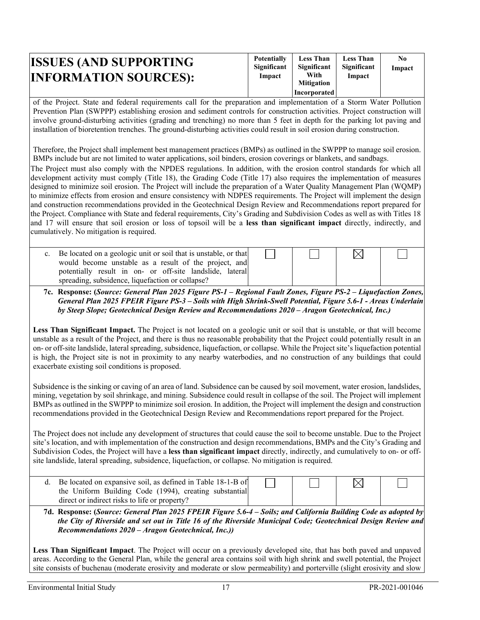| <b>ISSUES (AND SUPPORTING)</b><br><b>INFORMATION SOURCES):</b> | <b>Potentially</b><br>Significant<br>Impact | <b>Less Than</b><br>Significant<br>With<br><b>Mitigation</b><br>Incorporated | <b>Less Than</b><br>Significant<br>Impact | No<br>Impact |
|----------------------------------------------------------------|---------------------------------------------|------------------------------------------------------------------------------|-------------------------------------------|--------------|
|----------------------------------------------------------------|---------------------------------------------|------------------------------------------------------------------------------|-------------------------------------------|--------------|

of the Project. State and federal requirements call for the preparation and implementation of a Storm Water Pollution Prevention Plan (SWPPP) establishing erosion and sediment controls for construction activities. Project construction will involve ground-disturbing activities (grading and trenching) no more than 5 feet in depth for the parking lot paving and installation of bioretention trenches. The ground-disturbing activities could result in soil erosion during construction.

Therefore, the Project shall implement best management practices (BMPs) as outlined in the SWPPP to manage soil erosion. BMPs include but are not limited to water applications, soil binders, erosion coverings or blankets, and sandbags.

The Project must also comply with the NPDES regulations. In addition, with the erosion control standards for which all development activity must comply (Title 18), the Grading Code (Title 17) also requires the implementation of measures designed to minimize soil erosion. The Project will include the preparation of a Water Quality Management Plan (WQMP) to minimize effects from erosion and ensure consistency with NDPES requirements. The Project will implement the design and construction recommendations provided in the Geotechnical Design Review and Recommendations report prepared for the Project. Compliance with State and federal requirements, City's Grading and Subdivision Codes as well as with Titles 18 and 17 will ensure that soil erosion or loss of topsoil will be a **less than significant impact** directly, indirectly, and cumulatively. No mitigation is required.

| c. Be located on a geologic unit or soil that is unstable, or that                                                |  |  |
|-------------------------------------------------------------------------------------------------------------------|--|--|
| would become unstable as a result of the project, and<br>potentially result in on- or off-site landslide, lateral |  |  |
| spreading, subsidence, liquefaction or collapse?                                                                  |  |  |

**7c. Response: (***Source: General Plan 2025 Figure PS-1 – Regional Fault Zones, Figure PS-2 – Liquefaction Zones, General Plan 2025 FPEIR Figure PS-3 – Soils with High Shrink-Swell Potential, Figure 5.6-1 - Areas Underlain by Steep Slope; Geotechnical Design Review and Recommendations 2020 – Aragon Geotechnical, Inc.)* 

**Less Than Significant Impact.** The Project is not located on a geologic unit or soil that is unstable, or that will become unstable as a result of the Project, and there is thus no reasonable probability that the Project could potentially result in an on- or off-site landslide, lateral spreading, subsidence, liquefaction, or collapse. While the Project site's liquefaction potential is high, the Project site is not in proximity to any nearby waterbodies, and no construction of any buildings that could exacerbate existing soil conditions is proposed.

Subsidence is the sinking or caving of an area of land. Subsidence can be caused by soil movement, water erosion, landslides, mining, vegetation by soil shrinkage, and mining. Subsidence could result in collapse of the soil. The Project will implement BMPs as outlined in the SWPPP to minimize soil erosion. In addition, the Project will implement the design and construction recommendations provided in the Geotechnical Design Review and Recommendations report prepared for the Project.

The Project does not include any development of structures that could cause the soil to become unstable. Due to the Project site's location, and with implementation of the construction and design recommendations, BMPs and the City's Grading and Subdivision Codes, the Project will have a **less than significant impact** directly, indirectly, and cumulatively to on- or offsite landslide, lateral spreading, subsidence, liquefaction, or collapse. No mitigation is required.

| d. Be located on expansive soil, as defined in Table 18-1-B of |  |  |  |
|----------------------------------------------------------------|--|--|--|
| the Uniform Building Code (1994), creating substantial         |  |  |  |
| direct or indirect risks to life or property?                  |  |  |  |

**7d. Response: (***Source: General Plan 2025 FPEIR Figure 5.6-4 – Soils; and California Building Code as adopted by the City of Riverside and set out in Title 16 of the Riverside Municipal Code; Geotechnical Design Review and Recommendations 2020 – Aragon Geotechnical, Inc.))* 

**Less Than Significant Impact**. The Project will occur on a previously developed site, that has both paved and unpaved areas. According to the General Plan, while the general area contains soil with high shrink and swell potential, the Project site consists of buchenau (moderate erosivity and moderate or slow permeability) and porterville (slight erosivity and slow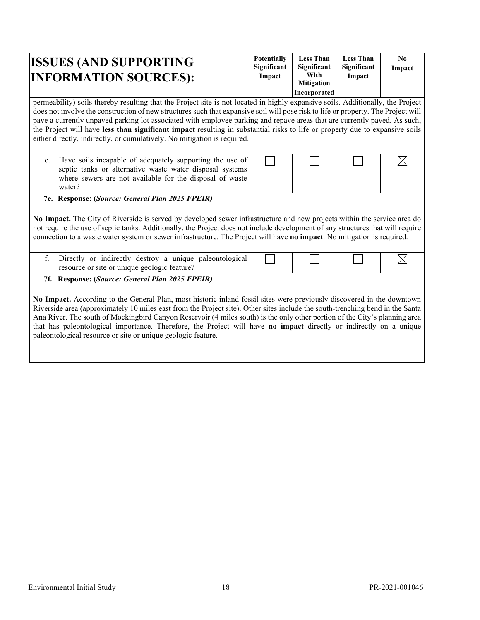| <b>ISSUES (AND SUPPORTING</b><br><b>INFORMATION SOURCES):</b>                                                                                                                                                                                                                                                                                                                                                                                                                                                                                                                                                                  | <b>Potentially</b><br>Significant<br>Impact | <b>Less Than</b><br>Significant<br>With<br><b>Mitigation</b><br>Incorporated | <b>Less Than</b><br>Significant<br>Impact | $\mathbf{N}\mathbf{0}$<br>Impact |
|--------------------------------------------------------------------------------------------------------------------------------------------------------------------------------------------------------------------------------------------------------------------------------------------------------------------------------------------------------------------------------------------------------------------------------------------------------------------------------------------------------------------------------------------------------------------------------------------------------------------------------|---------------------------------------------|------------------------------------------------------------------------------|-------------------------------------------|----------------------------------|
| permeability) soils thereby resulting that the Project site is not located in highly expansive soils. Additionally, the Project<br>does not involve the construction of new structures such that expansive soil will pose risk to life or property. The Project will<br>pave a currently unpaved parking lot associated with employee parking and repave areas that are currently paved. As such,<br>the Project will have less than significant impact resulting in substantial risks to life or property due to expansive soils<br>either directly, indirectly, or cumulatively. No mitigation is required.                  |                                             |                                                                              |                                           |                                  |
| Have soils incapable of adequately supporting the use of<br>e.<br>septic tanks or alternative waste water disposal systems<br>where sewers are not available for the disposal of waste<br>water?                                                                                                                                                                                                                                                                                                                                                                                                                               |                                             |                                                                              |                                           |                                  |
| 7e. Response: (Source: General Plan 2025 FPEIR)<br>No Impact. The City of Riverside is served by developed sewer infrastructure and new projects within the service area do<br>not require the use of septic tanks. Additionally, the Project does not include development of any structures that will require<br>connection to a waste water system or sewer infrastructure. The Project will have no impact. No mitigation is required.                                                                                                                                                                                      |                                             |                                                                              |                                           |                                  |
| f.<br>Directly or indirectly destroy a unique paleontological<br>resource or site or unique geologic feature?                                                                                                                                                                                                                                                                                                                                                                                                                                                                                                                  |                                             |                                                                              |                                           |                                  |
| 7f. Response: (Source: General Plan 2025 FPEIR)<br>No Impact. According to the General Plan, most historic inland fossil sites were previously discovered in the downtown<br>Riverside area (approximately 10 miles east from the Project site). Other sites include the south-trenching bend in the Santa<br>Ana River. The south of Mockingbird Canyon Reservoir (4 miles south) is the only other portion of the City's planning area<br>that has paleontological importance. Therefore, the Project will have no impact directly or indirectly on a unique<br>paleontological resource or site or unique geologic feature. |                                             |                                                                              |                                           |                                  |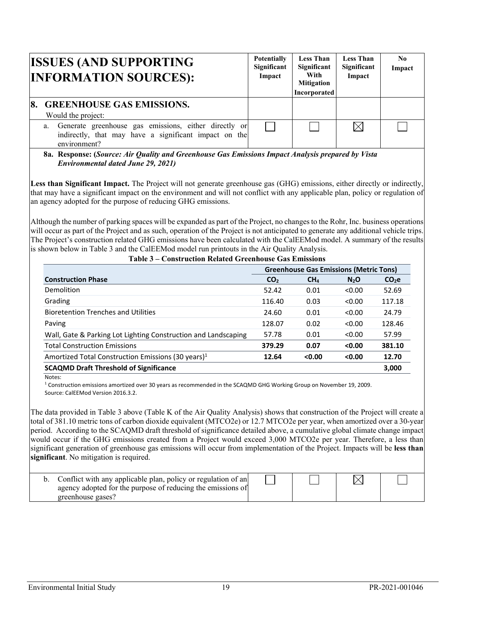|           | <b>ISSUES (AND SUPPORTING</b><br><b>INFORMATION SOURCES):</b>                                                                     | <b>Potentially</b><br>Significant<br>Impact | <b>Less Than</b><br>Significant<br>With<br><b>Mitigation</b><br>Incorporated | <b>Less Than</b><br>Significant<br>Impact | N <sub>0</sub><br>Impact |
|-----------|-----------------------------------------------------------------------------------------------------------------------------------|---------------------------------------------|------------------------------------------------------------------------------|-------------------------------------------|--------------------------|
| <b>8.</b> | <b>GREENHOUSE GAS EMISSIONS.</b><br>Would the project:                                                                            |                                             |                                                                              |                                           |                          |
|           | a. Generate greenhouse gas emissions, either directly or<br>indirectly, that may have a significant impact on the<br>environment? |                                             |                                                                              | $\Join$                                   |                          |

**8a. Response: (***Source: Air Quality and Greenhouse Gas Emissions Impact Analysis prepared by Vista Environmental dated June 29, 2021)* 

Less than Significant Impact. The Project will not generate greenhouse gas (GHG) emissions, either directly or indirectly, that may have a significant impact on the environment and will not conflict with any applicable plan, policy or regulation of an agency adopted for the purpose of reducing GHG emissions.

Although the number of parking spaces will be expanded as part of the Project, no changes to the Rohr, Inc. business operations will occur as part of the Project and as such, operation of the Project is not anticipated to generate any additional vehicle trips. The Project's construction related GHG emissions have been calculated with the CalEEMod model. A summary of the results is shown below in Table 3 and the CalEEMod model run printouts in the Air Quality Analysis.

|                                                                | <b>Greenhouse Gas Emissions (Metric Tons)</b> |                 |                  |                   |
|----------------------------------------------------------------|-----------------------------------------------|-----------------|------------------|-------------------|
| <b>Construction Phase</b>                                      | CO <sub>2</sub>                               | CH <sub>4</sub> | N <sub>2</sub> O | CO <sub>2</sub> e |
| Demolition                                                     | 52.42                                         | 0.01            | < 0.00           | 52.69             |
| Grading                                                        | 116.40                                        | 0.03            | < 0.00           | 117.18            |
| <b>Bioretention Trenches and Utilities</b>                     | 24.60                                         | 0.01            | < 0.00           | 24.79             |
| Paving                                                         | 128.07                                        | 0.02            | < 0.00           | 128.46            |
| Wall, Gate & Parking Lot Lighting Construction and Landscaping | 57.78                                         | 0.01            | < 0.00           | 57.99             |
| <b>Total Construction Emissions</b>                            | 379.29                                        | 0.07            | < 0.00           | 381.10            |
| Amortized Total Construction Emissions (30 years) <sup>1</sup> | 12.64                                         | < 0.00          | < 0.00           | 12.70             |
| <b>SCAQMD Draft Threshold of Significance</b>                  |                                               |                 |                  | 3,000             |

## **Table 3 – Construction Related Greenhouse Gas Emissions**

Notes:

 $1$  Construction emissions amortized over 30 years as recommended in the SCAQMD GHG Working Group on November 19, 2009. Source: CalEEMod Version 2016.3.2.

The data provided in Table 3 above (Table K of the Air Quality Analysis) shows that construction of the Project will create a total of 381.10 metric tons of carbon dioxide equivalent (MTCO2e) or 12.7 MTCO2e per year, when amortized over a 30-year period. According to the SCAQMD draft threshold of significance detailed above, a cumulative global climate change impact would occur if the GHG emissions created from a Project would exceed 3,000 MTCO2e per year. Therefore, a less than significant generation of greenhouse gas emissions will occur from implementation of the Project. Impacts will be **less than significant**. No mitigation is required.

| Conflict with any applicable plan, policy or regulation of an<br>agency adopted for the purpose of reducing the emissions of<br>greenhouse gases? |  |  |
|---------------------------------------------------------------------------------------------------------------------------------------------------|--|--|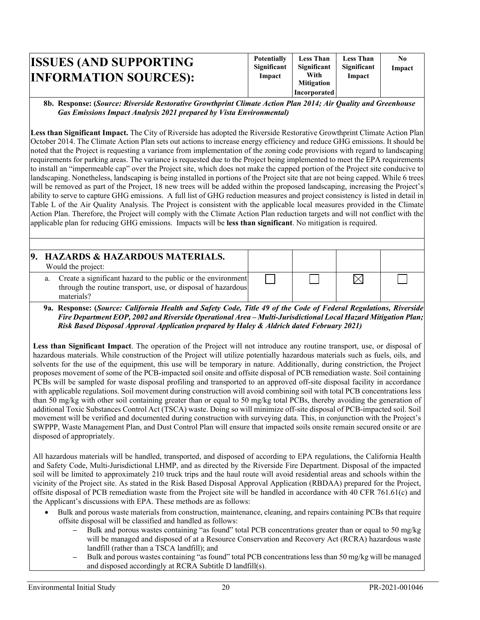| Incorporated |
|--------------|
|--------------|

#### **8b. Response: (***Source: Riverside Restorative Growthprint Climate Action Plan 2014; Air Quality and Greenhouse Gas Emissions Impact Analysis 2021 prepared by Vista Environmental)*

**Less than Significant Impact.** The City of Riverside has adopted the Riverside Restorative Growthprint Climate Action Plan October 2014. The Climate Action Plan sets out actions to increase energy efficiency and reduce GHG emissions. It should be noted that the Project is requesting a variance from implementation of the zoning code provisions with regard to landscaping requirements for parking areas. The variance is requested due to the Project being implemented to meet the EPA requirements to install an "impermeable cap" over the Project site, which does not make the capped portion of the Project site conducive to landscaping. Nonetheless, landscaping is being installed in portions of the Project site that are not being capped. While 6 trees will be removed as part of the Project, 18 new trees will be added within the proposed landscaping, increasing the Project's ability to serve to capture GHG emissions. A full list of GHG reduction measures and project consistency is listed in detail in Table L of the Air Quality Analysis. The Project is consistent with the applicable local measures provided in the Climate Action Plan. Therefore, the Project will comply with the Climate Action Plan reduction targets and will not conflict with the applicable plan for reducing GHG emissions. Impacts will be **less than significant**. No mitigation is required.

| Would the project: | 9. HAZARDS & HAZARDOUS MATERIALS.                                                                                               |  |  |
|--------------------|---------------------------------------------------------------------------------------------------------------------------------|--|--|
| materials?         | a. Create a significant hazard to the public or the environment<br>through the routine transport, use, or disposal of hazardous |  |  |

**9a. Response: (***Source: California Health and Safety Code, Title 49 of the Code of Federal Regulations, Riverside Fire Department EOP, 2002 and Riverside Operational Area – Multi-Jurisdictional Local Hazard Mitigation Plan; Risk Based Disposal Approval Application prepared by Haley & Aldrich dated February 2021)* 

**Less than Significant Impact**. The operation of the Project will not introduce any routine transport, use, or disposal of hazardous materials. While construction of the Project will utilize potentially hazardous materials such as fuels, oils, and solvents for the use of the equipment, this use will be temporary in nature. Additionally, during constriction, the Project proposes movement of some of the PCB-impacted soil onsite and offsite disposal of PCB remediation waste. Soil containing PCBs will be sampled for waste disposal profiling and transported to an approved off-site disposal facility in accordance with applicable regulations. Soil movement during construction will avoid combining soil with total PCB concentrations less than 50 mg/kg with other soil containing greater than or equal to 50 mg/kg total PCBs, thereby avoiding the generation of additional Toxic Substances Control Act (TSCA) waste. Doing so will minimize off-site disposal of PCB-impacted soil. Soil movement will be verified and documented during construction with surveying data. This, in conjunction with the Project's SWPPP, Waste Management Plan, and Dust Control Plan will ensure that impacted soils onsite remain secured onsite or are disposed of appropriately.

All hazardous materials will be handled, transported, and disposed of according to EPA regulations, the California Health and Safety Code, Multi-Jurisdictional LHMP, and as directed by the Riverside Fire Department. Disposal of the impacted soil will be limited to approximately 210 truck trips and the haul route will avoid residential areas and schools within the vicinity of the Project site. As stated in the Risk Based Disposal Approval Application (RBDAA) prepared for the Project, offsite disposal of PCB remediation waste from the Project site will be handled in accordance with 40 CFR 761.61(c) and the Applicant's discussions with EPA. These methods are as follows:

- Bulk and porous waste materials from construction, maintenance, cleaning, and repairs containing PCBs that require offsite disposal will be classified and handled as follows:
	- **–** Bulk and porous wastes containing "as found" total PCB concentrations greater than or equal to 50 mg/kg will be managed and disposed of at a Resource Conservation and Recovery Act (RCRA) hazardous waste landfill (rather than a TSCA landfill); and
	- **–** Bulk and porous wastes containing "as found" total PCB concentrations less than 50 mg/kg will be managed and disposed accordingly at RCRA Subtitle D landfill(s).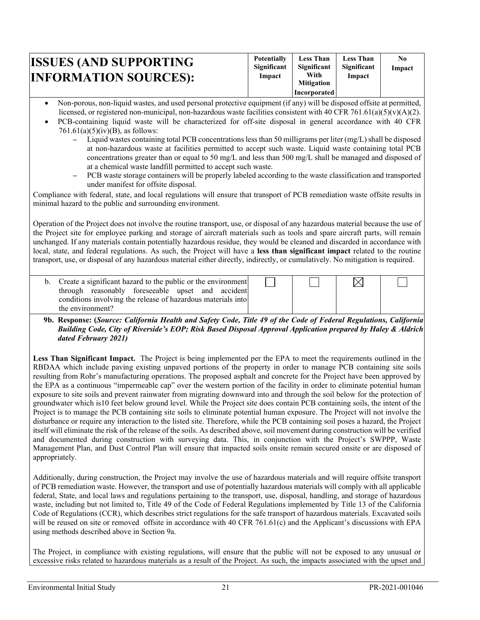| <b>ISSUES (AND SUPPORTING)</b><br><b>INFORMATION SOURCES):</b> | <b>Potentially</b><br>Significant<br>Impact | <b>Less Than</b><br>Significant<br>With<br><b>Mitigation</b><br>Incorporated | <b>Less Than</b><br>Significant<br>Impact | $\bf No$<br>Impact |  |
|----------------------------------------------------------------|---------------------------------------------|------------------------------------------------------------------------------|-------------------------------------------|--------------------|--|
|----------------------------------------------------------------|---------------------------------------------|------------------------------------------------------------------------------|-------------------------------------------|--------------------|--|

- Non-porous, non-liquid wastes, and used personal protective equipment (if any) will be disposed offsite at permitted, licensed, or registered non-municipal, non-hazardous waste facilities consistent with 40 CFR 761.61(a)(5)(v)(A)(2).
- PCB-containing liquid waste will be characterized for off-site disposal in general accordance with 40 CFR  $761.61(a)(5)(iv)(B)$ , as follows:
	- **–** Liquid wastes containing total PCB concentrations less than 50 milligrams per liter (mg/L) shall be disposed at non-hazardous waste at facilities permitted to accept such waste. Liquid waste containing total PCB concentrations greater than or equal to 50 mg/L and less than 500 mg/L shall be managed and disposed of at a chemical waste landfill permitted to accept such waste.
	- **–** PCB waste storage containers will be properly labeled according to the waste classification and transported under manifest for offsite disposal.

Compliance with federal, state, and local regulations will ensure that transport of PCB remediation waste offsite results in minimal hazard to the public and surrounding environment.

Operation of the Project does not involve the routine transport, use, or disposal of any hazardous material because the use of the Project site for employee parking and storage of aircraft materials such as tools and spare aircraft parts, will remain unchanged. If any materials contain potentially hazardous residue, they would be cleaned and discarded in accordance with local, state, and federal regulations. As such, the Project will have a **less than significant impact** related to the routine transport, use, or disposal of any hazardous material either directly, indirectly, or cumulatively. No mitigation is required.

| b. Create a significant hazard to the public or the environment |  |  |
|-----------------------------------------------------------------|--|--|
| through reasonably foreseeable upset and accident               |  |  |
| conditions involving the release of hazardous materials into    |  |  |
| the environment?                                                |  |  |

#### **9b. Response: (***Source: California Health and Safety Code, Title 49 of the Code of Federal Regulations, California Building Code, City of Riverside's EOP; Risk Based Disposal Approval Application prepared by Haley & Aldrich dated February 2021)*

Less Than Significant Impact. The Project is being implemented per the EPA to meet the requirements outlined in the RBDAA which include paving existing unpaved portions of the property in order to manage PCB containing site soils resulting from Rohr's manufacturing operations. The proposed asphalt and concrete for the Project have been approved by the EPA as a continuous "impermeable cap" over the western portion of the facility in order to eliminate potential human exposure to site soils and prevent rainwater from migrating downward into and through the soil below for the protection of groundwater which is10 feet below ground level. While the Project site does contain PCB containing soils, the intent of the Project is to manage the PCB containing site soils to eliminate potential human exposure. The Project will not involve the disturbance or require any interaction to the listed site. Therefore, while the PCB containing soil poses a hazard, the Project itself will eliminate the risk of the release of the soils. As described above, soil movement during construction will be verified and documented during construction with surveying data. This, in conjunction with the Project's SWPPP, Waste Management Plan, and Dust Control Plan will ensure that impacted soils onsite remain secured onsite or are disposed of appropriately.

Additionally, during construction, the Project may involve the use of hazardous materials and will require offsite transport of PCB remediation waste. However, the transport and use of potentially hazardous materials will comply with all applicable federal, State, and local laws and regulations pertaining to the transport, use, disposal, handling, and storage of hazardous waste, including but not limited to, Title 49 of the Code of Federal Regulations implemented by Title 13 of the California Code of Regulations (CCR), which describes strict regulations for the safe transport of hazardous materials. Excavated soils will be reused on site or removed offsite in accordance with 40 CFR 761.61(c) and the Applicant's discussions with EPA using methods described above in Section 9a.

The Project, in compliance with existing regulations, will ensure that the public will not be exposed to any unusual or excessive risks related to hazardous materials as a result of the Project. As such, the impacts associated with the upset and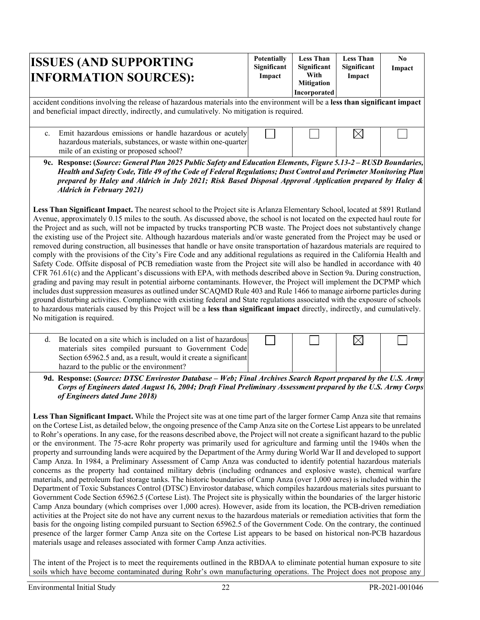| <b>ISSUES (AND SUPPORTING)</b><br><b>INFORMATION SOURCES):</b>                                                                                                                                                           | <b>Potentially</b><br>Significant<br>Impact | <b>Less Than</b><br>Significant<br>With<br><b>Mitigation</b><br>Incorporated | <b>Less Than</b><br>Significant<br>Impact | N <sub>0</sub><br>Impact |
|--------------------------------------------------------------------------------------------------------------------------------------------------------------------------------------------------------------------------|---------------------------------------------|------------------------------------------------------------------------------|-------------------------------------------|--------------------------|
| accident conditions involving the release of hazardous materials into the environment will be a less than significant impact<br>and beneficial impact directly, indirectly, and cumulatively. No mitigation is required. |                                             |                                                                              |                                           |                          |

c. Emit hazardous emissions or handle hazardous or acutely hazardous materials, substances, or waste within one-quarter mile of an existing or proposed school?

**9c. Response: (***Source: General Plan 2025 Public Safety and Education Elements, Figure 5.13-2 – RUSD Boundaries, Health and Safety Code, Title 49 of the Code of Federal Regulations; Dust Control and Perimeter Monitoring Plan prepared by Haley and Aldrich in July 2021; Risk Based Disposal Approval Application prepared by Haley & Aldrich in February 2021)* 

**Less Than Significant Impact.** The nearest school to the Project site is Arlanza Elementary School, located at 5891 Rutland Avenue, approximately 0.15 miles to the south. As discussed above, the school is not located on the expected haul route for the Project and as such, will not be impacted by trucks transporting PCB waste. The Project does not substantively change the existing use of the Project site. Although hazardous materials and/or waste generated from the Project may be used or removed during construction, all businesses that handle or have onsite transportation of hazardous materials are required to comply with the provisions of the City's Fire Code and any additional regulations as required in the California Health and Safety Code. Offsite disposal of PCB remediation waste from the Project site will also be handled in accordance with 40 CFR 761.61(c) and the Applicant's discussions with EPA, with methods described above in Section 9a. During construction, grading and paving may result in potential airborne contaminants. However, the Project will implement the DCPMP which includes dust suppression measures as outlined under SCAQMD Rule 403 and Rule 1466 to manage airborne particles during ground disturbing activities. Compliance with existing federal and State regulations associated with the exposure of schools to hazardous materials caused by this Project will be a **less than significant impact** directly, indirectly, and cumulatively. No mitigation is required.

| d. Be located on a site which is included on a list of hazardous<br>materials sites compiled pursuant to Government Code |  |  |
|--------------------------------------------------------------------------------------------------------------------------|--|--|
| Section 65962.5 and, as a result, would it create a significant                                                          |  |  |
| hazard to the public or the environment?                                                                                 |  |  |

**9d. Response: (***Source: DTSC Envirostor Database – Web; Final Archives Search Report prepared by the U.S. Army Corps of Engineers dated August 16, 2004; Draft Final Preliminary Assessment prepared by the U.S. Army Corps of Engineers dated June 2018)* 

**Less Than Significant Impact.** While the Project site was at one time part of the larger former Camp Anza site that remains on the Cortese List, as detailed below, the ongoing presence of the Camp Anza site on the Cortese List appears to be unrelated to Rohr's operations. In any case, for the reasons described above, the Project will not create a significant hazard to the public or the environment. The 75-acre Rohr property was primarily used for agriculture and farming until the 1940s when the property and surrounding lands were acquired by the Department of the Army during World War II and developed to support Camp Anza. In 1984, a Preliminary Assessment of Camp Anza was conducted to identify potential hazardous materials concerns as the property had contained military debris (including ordnances and explosive waste), chemical warfare materials, and petroleum fuel storage tanks. The historic boundaries of Camp Anza (over 1,000 acres) is included within the Department of Toxic Substances Control (DTSC) Envirostor database, which compiles hazardous materials sites pursuant to Government Code Section 65962.5 (Cortese List). The Project site is physically within the boundaries of the larger historic Camp Anza boundary (which comprises over 1,000 acres). However, aside from its location, the PCB-driven remediation activities at the Project site do not have any current nexus to the hazardous materials or remediation activities that form the basis for the ongoing listing compiled pursuant to Section 65962.5 of the Government Code. On the contrary, the continued presence of the larger former Camp Anza site on the Cortese List appears to be based on historical non-PCB hazardous materials usage and releases associated with former Camp Anza activities.

The intent of the Project is to meet the requirements outlined in the RBDAA to eliminate potential human exposure to site soils which have become contaminated during Rohr's own manufacturing operations. The Project does not propose any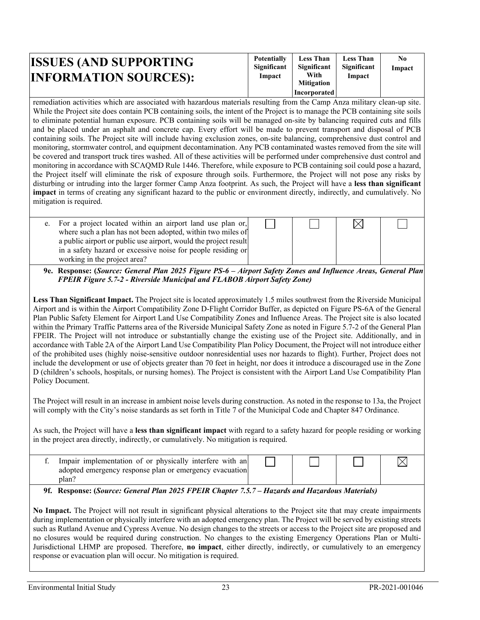| <b>ISSUES (AND SUPPORTING</b> | <b>Potentially</b><br>Significant | <b>Less Than</b><br>Significant | <b>Less Than</b><br>Significant | N0<br>Impact |
|-------------------------------|-----------------------------------|---------------------------------|---------------------------------|--------------|
| <b>INFORMATION SOURCES):</b>  | Impact                            | With<br><b>Mitigation</b>       | Impact                          |              |
|                               |                                   | Incorporated                    |                                 |              |

remediation activities which are associated with hazardous materials resulting from the Camp Anza military clean-up site. While the Project site does contain PCB containing soils, the intent of the Project is to manage the PCB containing site soils to eliminate potential human exposure. PCB containing soils will be managed on-site by balancing required cuts and fills and be placed under an asphalt and concrete cap. Every effort will be made to prevent transport and disposal of PCB containing soils. The Project site will include having exclusion zones, on-site balancing, comprehensive dust control and monitoring, stormwater control, and equipment decontamination. Any PCB contaminated wastes removed from the site will be covered and transport truck tires washed. All of these activities will be performed under comprehensive dust control and monitoring in accordance with SCAQMD Rule 1446. Therefore, while exposure to PCB containing soil could pose a hazard, the Project itself will eliminate the risk of exposure through soils. Furthermore, the Project will not pose any risks by disturbing or intruding into the larger former Camp Anza footprint. As such, the Project will have a **less than significant impact** in terms of creating any significant hazard to the public or environment directly, indirectly, and cumulatively. No mitigation is required.

e. For a project located within an airport land use plan or, where such a plan has not been adopted, within two miles of a public airport or public use airport, would the project result in a safety hazard or excessive noise for people residing or working in the project area?



**9e. Response: (***Source: General Plan 2025 Figure PS-6 – Airport Safety Zones and Influence Areas, General Plan FPEIR Figure 5.7-2 - Riverside Municipal and FLABOB Airport Safety Zone)*

**Less Than Significant Impact.** The Project site is located approximately 1.5 miles southwest from the Riverside Municipal Airport and is within the Airport Compatibility Zone D-Flight Corridor Buffer, as depicted on Figure PS-6A of the General Plan Public Safety Element for Airport Land Use Compatibility Zones and Influence Areas. The Project site is also located within the Primary Traffic Patterns area of the Riverside Municipal Safety Zone as noted in Figure 5.7-2 of the General Plan FPEIR. The Project will not introduce or substantially change the existing use of the Project site. Additionally, and in accordance with Table 2A of the Airport Land Use Compatibility Plan Policy Document, the Project will not introduce either of the prohibited uses (highly noise-sensitive outdoor nonresidential uses nor hazards to flight). Further, Project does not include the development or use of objects greater than 70 feet in height, nor does it introduce a discouraged use in the Zone D (children's schools, hospitals, or nursing homes). The Project is consistent with the Airport Land Use Compatibility Plan Policy Document.

The Project will result in an increase in ambient noise levels during construction. As noted in the response to 13a, the Project will comply with the City's noise standards as set forth in Title 7 of the Municipal Code and Chapter 847 Ordinance.

As such, the Project will have a **less than significant impact** with regard to a safety hazard for people residing or working in the project area directly, indirectly, or cumulatively. No mitigation is required.

| Impair implementation of or physically interfere with an<br>adopted emergency response plan or emergency evacuation<br>plan' |  |  |
|------------------------------------------------------------------------------------------------------------------------------|--|--|
|                                                                                                                              |  |  |

**9f. Response: (***Source: General Plan 2025 FPEIR Chapter 7.5.7 – Hazards and Hazardous Materials)*

**No Impact.** The Project will not result in significant physical alterations to the Project site that may create impairments during implementation or physically interfere with an adopted emergency plan. The Project will be served by existing streets such as Rutland Avenue and Cypress Avenue. No design changes to the streets or access to the Project site are proposed and no closures would be required during construction. No changes to the existing Emergency Operations Plan or Multi-Jurisdictional LHMP are proposed. Therefore, **no impact**, either directly, indirectly, or cumulatively to an emergency response or evacuation plan will occur. No mitigation is required.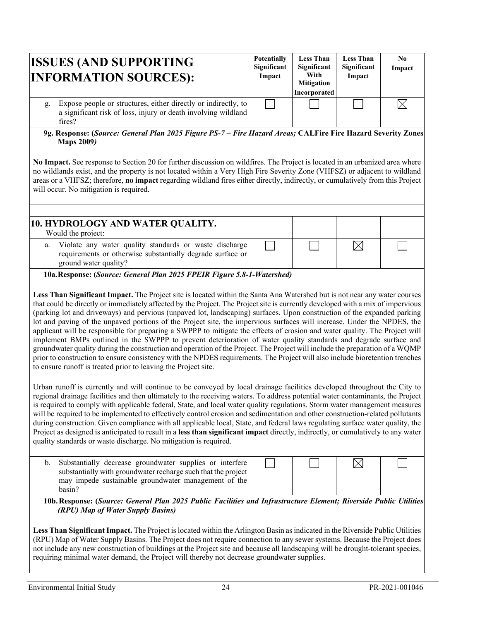| <b>ISSUES (AND SUPPORTING</b><br><b>INFORMATION SOURCES):</b>                                                                                    | <b>Potentially</b><br>Significant<br>Impact | <b>Less Than</b><br>Significant<br>With<br><b>Mitigation</b><br>Incorporated | <b>Less Than</b><br>Significant<br>Impact | No.<br>Impact |
|--------------------------------------------------------------------------------------------------------------------------------------------------|---------------------------------------------|------------------------------------------------------------------------------|-------------------------------------------|---------------|
| Expose people or structures, either directly or indirectly, to<br>g.<br>a significant risk of loss, injury or death involving wildland<br>fires? |                                             |                                                                              |                                           |               |

**9g. Response: (***Source: General Plan 2025 Figure PS-7 – Fire Hazard Areas;* **CALFire Fire Hazard Severity Zones Maps 2009***)*

**No Impact.** See response to Section 20 for further discussion on wildfires. The Project is located in an urbanized area where no wildlands exist, and the property is not located within a Very High Fire Severity Zone (VHFSZ) or adjacent to wildland areas or a VHFSZ; therefore, **no impact** regarding wildland fires either directly, indirectly, or cumulatively from this Project will occur. No mitigation is required.

| 10. HYDROLOGY AND WATER QUALITY.                                                                                                                 |  |  |
|--------------------------------------------------------------------------------------------------------------------------------------------------|--|--|
| Would the project:                                                                                                                               |  |  |
| a. Violate any water quality standards or waste discharge<br>requirements or otherwise substantially degrade surface or<br>ground water quality? |  |  |

**10a.Response: (***Source: General Plan 2025 FPEIR Figure 5.8-1-Watershed)*

**Less Than Significant Impact.** The Project site is located within the Santa Ana Watershed but is not near any water courses that could be directly or immediately affected by the Project. The Project site is currently developed with a mix of impervious (parking lot and driveways) and pervious (unpaved lot, landscaping) surfaces. Upon construction of the expanded parking lot and paving of the unpaved portions of the Project site, the impervious surfaces will increase. Under the NPDES, the applicant will be responsible for preparing a SWPPP to mitigate the effects of erosion and water quality. The Project will implement BMPs outlined in the SWPPP to prevent deterioration of water quality standards and degrade surface and groundwater quality during the construction and operation of the Project. The Project will include the preparation of a WQMP prior to construction to ensure consistency with the NPDES requirements. The Project will also include bioretention trenches to ensure runoff is treated prior to leaving the Project site.

Urban runoff is currently and will continue to be conveyed by local drainage facilities developed throughout the City to regional drainage facilities and then ultimately to the receiving waters. To address potential water contaminants, the Project is required to comply with applicable federal, State, and local water quality regulations. Storm water management measures will be required to be implemented to effectively control erosion and sedimentation and other construction-related pollutants during construction. Given compliance with all applicable local, State, and federal laws regulating surface water quality, the Project as designed is anticipated to result in a **less than significant impact** directly, indirectly, or cumulatively to any water quality standards or waste discharge. No mitigation is required.

| b. Substantially decrease groundwater supplies or interfere   |  |  |
|---------------------------------------------------------------|--|--|
| substantially with groundwater recharge such that the project |  |  |
| may impede sustainable groundwater management of the          |  |  |
| basin?                                                        |  |  |

**10b.Response: (***Source: General Plan 2025 Public Facilities and Infrastructure Element; Riverside Public Utilities (RPU) Map of Water Supply Basins)* 

**Less Than Significant Impact.** The Project is located within the Arlington Basin as indicated in the Riverside Public Utilities (RPU) Map of Water Supply Basins. The Project does not require connection to any sewer systems. Because the Project does not include any new construction of buildings at the Project site and because all landscaping will be drought-tolerant species, requiring minimal water demand, the Project will thereby not decrease groundwater supplies.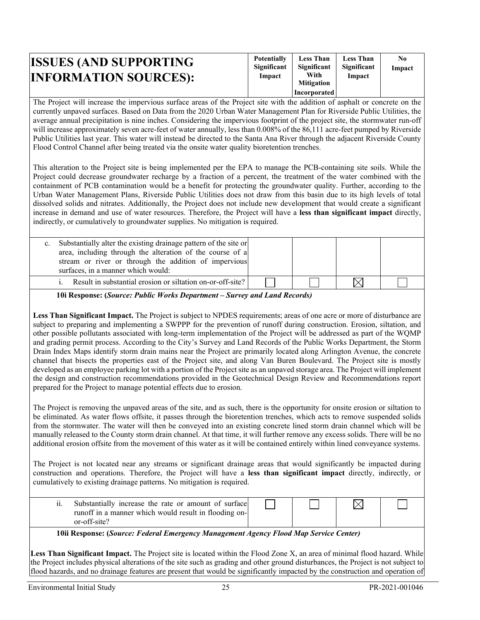| <b>ISSUES (AND SUPPORTING</b><br><b>INFORMATION SOURCES):</b> | <b>Potentially</b><br>Significant<br>Impact | <b>Less Than</b><br>Significant<br>With<br><b>Mitigation</b> | <b>Less Than</b><br>Significant<br>Impact | N0<br>Impact |
|---------------------------------------------------------------|---------------------------------------------|--------------------------------------------------------------|-------------------------------------------|--------------|
|                                                               |                                             | Incorporated                                                 |                                           |              |

The Project will increase the impervious surface areas of the Project site with the addition of asphalt or concrete on the currently unpaved surfaces. Based on Data from the 2020 Urban Water Management Plan for Riverside Public Utilities, the average annual precipitation is nine inches. Considering the impervious footprint of the project site, the stormwater run-off will increase approximately seven acre-feet of water annually, less than 0.008% of the 86,111 acre-feet pumped by Riverside Public Utilities last year. This water will instead be directed to the Santa Ana River through the adjacent Riverside County Flood Control Channel after being treated via the onsite water quality bioretention trenches.

This alteration to the Project site is being implemented per the EPA to manage the PCB-containing site soils. While the Project could decrease groundwater recharge by a fraction of a percent, the treatment of the water combined with the containment of PCB contamination would be a benefit for protecting the groundwater quality. Further, according to the Urban Water Management Plans, Riverside Public Utilities does not draw from this basin due to its high levels of total dissolved solids and nitrates. Additionally, the Project does not include new development that would create a significant increase in demand and use of water resources. Therefore, the Project will have a **less than significant impact** directly, indirectly, or cumulatively to groundwater supplies. No mitigation is required.

| Substantially alter the existing drainage pattern of the site or<br>area, including through the alteration of the course of a<br>stream or river or through the addition of impervious<br>surfaces, in a manner which would: |  |  |
|------------------------------------------------------------------------------------------------------------------------------------------------------------------------------------------------------------------------------|--|--|
| <i>i.</i> Result in substantial erosion or siltation on-or-off-site?                                                                                                                                                         |  |  |
|                                                                                                                                                                                                                              |  |  |

**10i Response: (***Source: Public Works Department – Survey and Land Records)*

**Less Than Significant Impact.** The Project is subject to NPDES requirements; areas of one acre or more of disturbance are subject to preparing and implementing a SWPPP for the prevention of runoff during construction. Erosion, siltation, and other possible pollutants associated with long-term implementation of the Project will be addressed as part of the WQMP and grading permit process. According to the City's Survey and Land Records of the Public Works Department, the Storm Drain Index Maps identify storm drain mains near the Project are primarily located along Arlington Avenue, the concrete channel that bisects the properties east of the Project site, and along Van Buren Boulevard. The Project site is mostly developed as an employee parking lot with a portion of the Project site as an unpaved storage area. The Project will implement the design and construction recommendations provided in the Geotechnical Design Review and Recommendations report prepared for the Project to manage potential effects due to erosion.

The Project is removing the unpaved areas of the site, and as such, there is the opportunity for onsite erosion or siltation to be eliminated. As water flows offsite, it passes through the bioretention trenches, which acts to remove suspended solids from the stormwater. The water will then be conveyed into an existing concrete lined storm drain channel which will be manually released to the County storm drain channel. At that time, it will further remove any excess solids. There will be no additional erosion offsite from the movement of this water as it will be contained entirely within lined conveyance systems.

The Project is not located near any streams or significant drainage areas that would significantly be impacted during construction and operations. Therefore, the Project will have a **less than significant impact** directly, indirectly, or cumulatively to existing drainage patterns. No mitigation is required.

| $\cdot \cdot$<br>11. | Substantially increase the rate or amount of surface<br>runoff in a manner which would result in flooding on- |  |  |
|----------------------|---------------------------------------------------------------------------------------------------------------|--|--|
|                      | or-off-site?                                                                                                  |  |  |

**10ii Response: (***Source: Federal Emergency Management Agency Flood Map Service Center)* 

**Less Than Significant Impact.** The Project site is located within the Flood Zone X, an area of minimal flood hazard. While the Project includes physical alterations of the site such as grading and other ground disturbances, the Project is not subject to flood hazards, and no drainage features are present that would be significantly impacted by the construction and operation of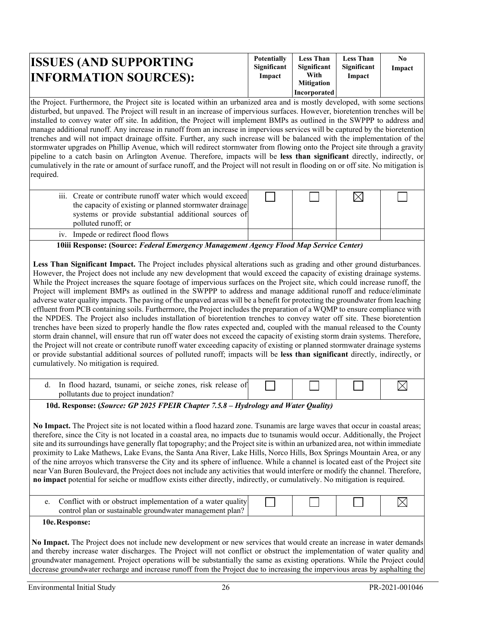| <b>ISSUES (AND SUPPORTING</b><br><b>INFORMATION SOURCES):</b> | <b>Potentially</b><br>Significant<br>Impact | <b>Less Than</b><br>Significant<br>With<br><b>Mitigation</b><br>Incorporated | <b>Less Than</b><br>Significant<br>Impact | N0<br>Impact |
|---------------------------------------------------------------|---------------------------------------------|------------------------------------------------------------------------------|-------------------------------------------|--------------|
|---------------------------------------------------------------|---------------------------------------------|------------------------------------------------------------------------------|-------------------------------------------|--------------|

the Project. Furthermore, the Project site is located within an urbanized area and is mostly developed, with some sections disturbed, but unpaved. The Project will result in an increase of impervious surfaces. However, bioretention trenches will be installed to convey water off site. In addition, the Project will implement BMPs as outlined in the SWPPP to address and manage additional runoff. Any increase in runoff from an increase in impervious services will be captured by the bioretention trenches and will not impact drainage offsite. Further, any such increase will be balanced with the implementation of the stormwater upgrades on Phillip Avenue, which will redirect stormwater from flowing onto the Project site through a gravity pipeline to a catch basin on Arlington Avenue. Therefore, impacts will be **less than significant** directly, indirectly, or cumulatively in the rate or amount of surface runoff, and the Project will not result in flooding on or off site. No mitigation is required.

| iii. Create or contribute runoff water which would exceed<br>the capacity of existing or planned stormwater drainage |  |  |
|----------------------------------------------------------------------------------------------------------------------|--|--|
| systems or provide substantial additional sources of                                                                 |  |  |
| polluted runoff; or                                                                                                  |  |  |
| iv. Impede or redirect flood flows                                                                                   |  |  |

**10iii Response: (Source:** *Federal Emergency Management Agency Flood Map Service Center)*

**Less Than Significant Impact.** The Project includes physical alterations such as grading and other ground disturbances. However, the Project does not include any new development that would exceed the capacity of existing drainage systems. While the Project increases the square footage of impervious surfaces on the Project site, which could increase runoff, the Project will implement BMPs as outlined in the SWPPP to address and manage additional runoff and reduce/eliminate adverse water quality impacts. The paving of the unpaved areas will be a benefit for protecting the groundwater from leaching effluent from PCB containing soils. Furthermore, the Project includes the preparation of a WQMP to ensure compliance with the NPDES. The Project also includes installation of bioretention trenches to convey water off site. These bioretention trenches have been sized to properly handle the flow rates expected and, coupled with the manual released to the County storm drain channel, will ensure that run off water does not exceed the capacity of existing storm drain systems. Therefore, the Project will not create or contribute runoff water exceeding capacity of existing or planned stormwater drainage systems or provide substantial additional sources of polluted runoff; impacts will be **less than significant** directly, indirectly, or cumulatively. No mitigation is required.

| In flood hazard, tsunami, or seiche zones, risk release of |  |  |
|------------------------------------------------------------|--|--|
| pollutants due to project inundation?                      |  |  |

**10d. Response: (***Source: GP 2025 FPEIR Chapter 7.5.8 – Hydrology and Water Quality)*

**No Impact.** The Project site is not located within a flood hazard zone. Tsunamis are large waves that occur in coastal areas; therefore, since the City is not located in a coastal area, no impacts due to tsunamis would occur. Additionally, the Project site and its surroundings have generally flat topography; and the Project site is within an urbanized area, not within immediate proximity to Lake Mathews, Lake Evans, the Santa Ana River, Lake Hills, Norco Hills, Box Springs Mountain Area, or any of the nine arroyos which transverse the City and its sphere of influence. While a channel is located east of the Project site near Van Buren Boulevard, the Project does not include any activities that would interfere or modify the channel. Therefore, **no impact** potential for seiche or mudflow exists either directly, indirectly, or cumulatively. No mitigation is required.

|  | . `on†lict_<br>control . | t with or obstruct implementation of a water qualityl<br>r plan or sustamable groundwater management plan? |  |  |  |  |
|--|--------------------------|------------------------------------------------------------------------------------------------------------|--|--|--|--|
|--|--------------------------|------------------------------------------------------------------------------------------------------------|--|--|--|--|

**10e.Response:**

**No Impact.** The Project does not include new development or new services that would create an increase in water demands and thereby increase water discharges. The Project will not conflict or obstruct the implementation of water quality and groundwater management. Project operations will be substantially the same as existing operations. While the Project could decrease groundwater recharge and increase runoff from the Project due to increasing the impervious areas by asphalting the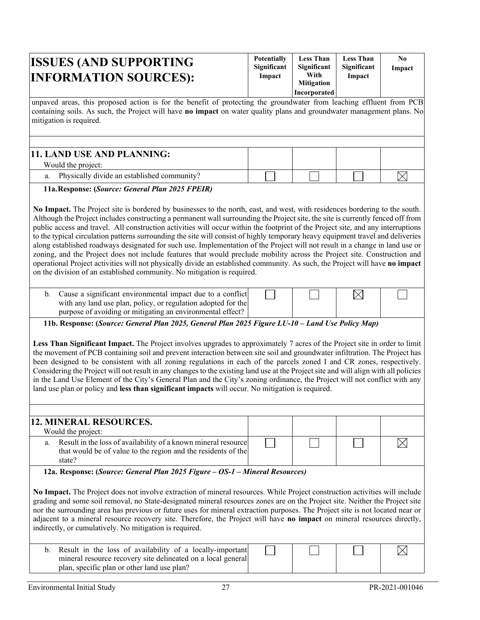| <b>ISSUES (AND SUPPORTING)</b><br><b>INFORMATION SOURCES):</b>                                                      | <b>Potentially</b><br><b>Significant</b><br>Impact | <b>Less Than</b><br>Significant<br>With<br><b>Mitigation</b><br><b>Incorporated</b> | <b>Less Than</b><br>Significant<br>Impact | No.<br>Impact |
|---------------------------------------------------------------------------------------------------------------------|----------------------------------------------------|-------------------------------------------------------------------------------------|-------------------------------------------|---------------|
| unneved grees this proposed ection is for the benefit of protecting the groundwater from leaching effluent from DCD |                                                    |                                                                                     |                                           |               |

unpaved areas, this proposed action is for the benefit of protecting the groundwater from leaching effluent from PCB containing soils. As such, the Project will have **no impact** on water quality plans and groundwater management plans. No mitigation is required.

| 11. LAND USE AND PLANNING:                  |  |  |
|---------------------------------------------|--|--|
| Would the project:                          |  |  |
| Physically divide an established community? |  |  |

**11a.Response: (***Source: General Plan 2025 FPEIR)*

**No Impact.** The Project site is bordered by businesses to the north, east, and west, with residences bordering to the south. Although the Project includes constructing a permanent wall surrounding the Project site, the site is currently fenced off from public access and travel. All construction activities will occur within the footprint of the Project site, and any interruptions to the typical circulation patterns surrounding the site will consist of highly temporary heavy equipment travel and deliveries along established roadways designated for such use. Implementation of the Project will not result in a change in land use or zoning, and the Project does not include features that would preclude mobility across the Project site. Construction and operational Project activities will not physically divide an established community. As such, the Project will have **no impact** on the division of an established community. No mitigation is required.

| b. Cause a significant environmental impact due to a conflict |  |  |
|---------------------------------------------------------------|--|--|
| with any land use plan, policy, or regulation adopted for the |  |  |
| purpose of avoiding or mitigating an environmental effect?    |  |  |

**11b. Response: (***Source: General Plan 2025, General Plan 2025 Figure LU-10 – Land Use Policy Map)* 

**Less Than Significant Impact.** The Project involves upgrades to approximately 7 acres of the Project site in order to limit the movement of PCB containing soil and prevent interaction between site soil and groundwater infiltration. The Project has been designed to be consistent with all zoning regulations in each of the parcels zoned I and CR zones, respectively. Considering the Project will not result in any changes to the existing land use at the Project site and will align with all policies in the Land Use Element of the City's General Plan and the City's zoning ordinance, the Project will not conflict with any land use plan or policy and **less than significant impacts** will occur. No mitigation is required.

| 12. MINERAL RESOURCES.                                                                                                                          |  |  |
|-------------------------------------------------------------------------------------------------------------------------------------------------|--|--|
| Would the project:                                                                                                                              |  |  |
| Result in the loss of availability of a known mineral resource<br>a.<br>that would be of value to the region and the residents of the<br>state? |  |  |

**12a. Response: (***Source: General Plan 2025 Figure – OS-1 – Mineral Resources)*

**No Impact.** The Project does not involve extraction of mineral resources. While Project construction activities will include grading and some soil removal, no State-designated mineral resources zones are on the Project site. Neither the Project site nor the surrounding area has previous or future uses for mineral extraction purposes. The Project site is not located near or adjacent to a mineral resource recovery site. Therefore, the Project will have **no impact** on mineral resources directly, indirectly, or cumulatively. No mitigation is required.

| b. Result in the loss of availability of a locally-important<br>mineral resource recovery site delineated on a local general |  |  |
|------------------------------------------------------------------------------------------------------------------------------|--|--|
| plan, specific plan or other land use plan?                                                                                  |  |  |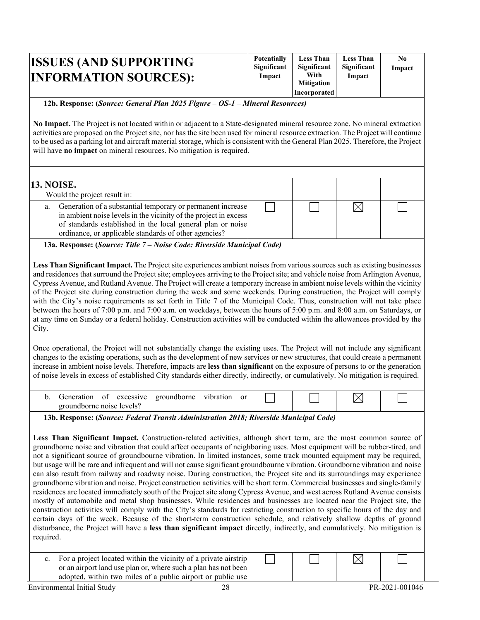| <b>ISSUES (AND SUPPORTING)</b><br><b>INFORMATION SOURCES):</b> | <b>Potentially</b><br>Significant<br>Impact | <b>Less Than</b><br>Significant<br>With<br><b>Mitigation</b> | <b>Less Than</b><br>Significant<br>Impact | N0<br>Impact |
|----------------------------------------------------------------|---------------------------------------------|--------------------------------------------------------------|-------------------------------------------|--------------|
|                                                                |                                             | <b>Incorporated</b>                                          |                                           |              |

#### **12b. Response: (***Source: General Plan 2025 Figure – OS-1 – Mineral Resources)*

**No Impact.** The Project is not located within or adjacent to a State-designated mineral resource zone. No mineral extraction activities are proposed on the Project site, nor has the site been used for mineral resource extraction. The Project will continue to be used as a parking lot and aircraft material storage, which is consistent with the General Plan 2025. Therefore, the Project will have **no impact** on mineral resources. No mitigation is required.

| <b>13. NOISE.</b>                                                                                                                                                                                                                                          |  |  |
|------------------------------------------------------------------------------------------------------------------------------------------------------------------------------------------------------------------------------------------------------------|--|--|
| Would the project result in:                                                                                                                                                                                                                               |  |  |
| a. Generation of a substantial temporary or permanent increase<br>in ambient noise levels in the vicinity of the project in excess<br>of standards established in the local general plan or noise<br>ordinance, or applicable standards of other agencies? |  |  |
| $\sim$                                                                                                                                                                                                                                                     |  |  |

**13a. Response: (***Source: Title 7 – Noise Code: Riverside Municipal Code)* 

**Less Than Significant Impact.** The Project site experiences ambient noises from various sources such as existing businesses and residencesthat surround the Project site; employees arriving to the Project site; and vehicle noise from Arlington Avenue, Cypress Avenue, and Rutland Avenue. The Project will create a temporary increase in ambient noise levels within the vicinity of the Project site during construction during the week and some weekends. During construction, the Project will comply with the City's noise requirements as set forth in Title 7 of the Municipal Code. Thus, construction will not take place between the hours of 7:00 p.m. and 7:00 a.m. on weekdays, between the hours of 5:00 p.m. and 8:00 a.m. on Saturdays, or at any time on Sunday or a federal holiday. Construction activities will be conducted within the allowances provided by the City.

Once operational, the Project will not substantially change the existing uses. The Project will not include any significant changes to the existing operations, such as the development of new services or new structures, that could create a permanent increase in ambient noise levels. Therefore, impacts are **less than significant** on the exposure of persons to or the generation of noise levels in excess of established City standards either directly, indirectly, or cumulatively. No mitigation is required.

| Jeneration                | Оİ | excessive | groundborne | vibration | or |  | $\sim$ |  |
|---------------------------|----|-----------|-------------|-----------|----|--|--------|--|
| groundborne noise levels? |    |           |             |           |    |  |        |  |

**13b. Response: (***Source: Federal Transit Administration 2018; Riverside Municipal Code)*

**Less Than Significant Impact.** Construction-related activities, although short term, are the most common source of groundborne noise and vibration that could affect occupants of neighboring uses. Most equipment will be rubber-tired, and not a significant source of groundbourne vibration. In limited instances, some track mounted equipment may be required, but usage will be rare and infrequent and will not cause significant groundbourne vibration. Groundborne vibration and noise can also result from railway and roadway noise. During construction, the Project site and its surroundings may experience groundborne vibration and noise. Project construction activities will be short term. Commercial businesses and single-family residences are located immediately south of the Project site along Cypress Avenue, and west across Rutland Avenue consists mostly of automobile and metal shop businesses. While residences and businesses are located near the Project site, the construction activities will comply with the City's standards for restricting construction to specific hours of the day and certain days of the week. Because of the short-term construction schedule, and relatively shallow depths of ground disturbance, the Project will have a **less than significant impact** directly, indirectly, and cumulatively. No mitigation is required.

c. For a project located within the vicinity of a private airstrip or an airport land use plan or, where such a plan has not been adopted, within two miles of a public airport or public use  $\boxtimes$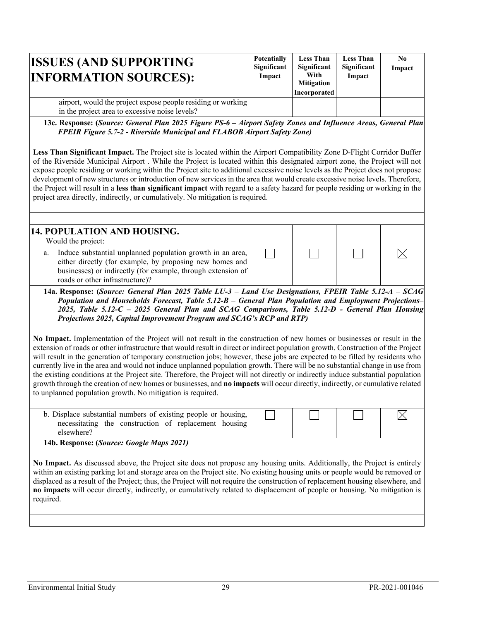| <b>ISSUES (AND SUPPORTING</b><br><b>INFORMATION SOURCES):</b>                                                  | <b>Potentially</b><br>Significant<br>Impact | <b>Less Than</b><br>Significant<br>With<br><b>Mitigation</b><br>Incorporated | <b>Less Than</b><br>Significant<br>Impact | N <sub>0</sub><br>Impact |
|----------------------------------------------------------------------------------------------------------------|---------------------------------------------|------------------------------------------------------------------------------|-------------------------------------------|--------------------------|
| airport, would the project expose people residing or working<br>in the project area to excessive noise levels? |                                             |                                                                              |                                           |                          |

**13c. Response: (***Source: General Plan 2025 Figure PS-6 – Airport Safety Zones and Influence Areas, General Plan FPEIR Figure 5.7-2 - Riverside Municipal and FLABOB Airport Safety Zone)* 

**Less Than Significant Impact.** The Project site is located within the Airport Compatibility Zone D-Flight Corridor Buffer of the Riverside Municipal Airport . While the Project is located within this designated airport zone, the Project will not expose people residing or working within the Project site to additional excessive noise levels as the Project does not propose development of new structures or introduction of new services in the area that would create excessive noise levels. Therefore, the Project will result in a **less than significant impact** with regard to a safety hazard for people residing or working in the project area directly, indirectly, or cumulatively. No mitigation is required.

| 14. POPULATION AND HOUSING.                                                                                                                                                                                                     |  |  |
|---------------------------------------------------------------------------------------------------------------------------------------------------------------------------------------------------------------------------------|--|--|
| Would the project:                                                                                                                                                                                                              |  |  |
| Induce substantial unplanned population growth in an area,<br>a.<br>either directly (for example, by proposing new homes and<br>businesses) or indirectly (for example, through extension of<br>roads or other infrastructure)? |  |  |

**14a. Response: (***Source: General Plan 2025 Table LU-3 – Land Use Designations, FPEIR Table 5.12-A – SCAG Population and Households Forecast, Table 5.12-B – General Plan Population and Employment Projections– 2025, Table 5.12-C – 2025 General Plan and SCAG Comparisons, Table 5.12-D - General Plan Housing Projections 2025, Capital Improvement Program and SCAG's RCP and RTP)*

**No Impact.** Implementation of the Project will not result in the construction of new homes or businesses or result in the extension of roads or other infrastructure that would result in direct or indirect population growth. Construction of the Project will result in the generation of temporary construction jobs; however, these jobs are expected to be filled by residents who currently live in the area and would not induce unplanned population growth. There will be no substantial change in use from the existing conditions at the Project site. Therefore, the Project will not directly or indirectly induce substantial population growth through the creation of new homes or businesses, and **no impacts** will occur directly, indirectly, or cumulative related to unplanned population growth. No mitigation is required.

| b. Displace substantial numbers of existing people or housing,<br>necessitating the construction of replacement housing |  |  |
|-------------------------------------------------------------------------------------------------------------------------|--|--|
| elsewhere?                                                                                                              |  |  |

**14b. Response: (***Source: Google Maps 2021)* 

**No Impact.** As discussed above, the Project site does not propose any housing units. Additionally, the Project is entirely within an existing parking lot and storage area on the Project site. No existing housing units or people would be removed or displaced as a result of the Project; thus, the Project will not require the construction of replacement housing elsewhere, and **no impacts** will occur directly, indirectly, or cumulatively related to displacement of people or housing. No mitigation is required.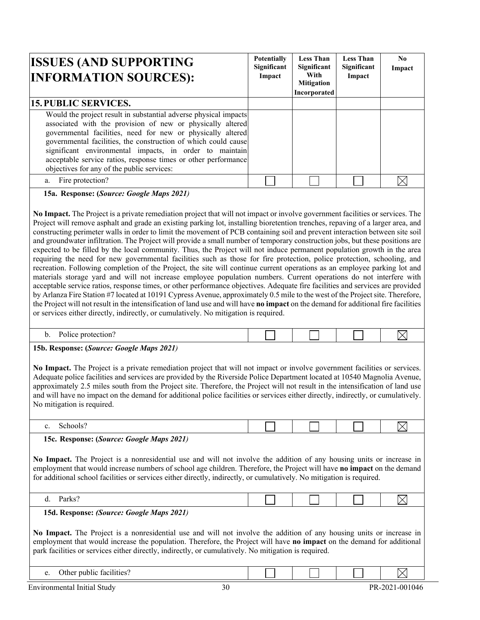| <b>ISSUES (AND SUPPORTING</b><br><b>INFORMATION SOURCES):</b>                                                                                                                                                                                                                                                                                                                                                                              | <b>Potentially</b><br>Significant<br>Impact | <b>Less Than</b><br>Significant<br>With<br><b>Mitigation</b><br>Incorporated | <b>Less Than</b><br>Significant<br>Impact | N <sub>0</sub><br>Impact |
|--------------------------------------------------------------------------------------------------------------------------------------------------------------------------------------------------------------------------------------------------------------------------------------------------------------------------------------------------------------------------------------------------------------------------------------------|---------------------------------------------|------------------------------------------------------------------------------|-------------------------------------------|--------------------------|
| <b>15. PUBLIC SERVICES.</b>                                                                                                                                                                                                                                                                                                                                                                                                                |                                             |                                                                              |                                           |                          |
| Would the project result in substantial adverse physical impacts<br>associated with the provision of new or physically altered<br>governmental facilities, need for new or physically altered<br>governmental facilities, the construction of which could cause<br>significant environmental impacts, in order to maintain<br>acceptable service ratios, response times or other performance<br>objectives for any of the public services: |                                             |                                                                              |                                           |                          |
| a. Fire protection?                                                                                                                                                                                                                                                                                                                                                                                                                        |                                             |                                                                              |                                           |                          |
|                                                                                                                                                                                                                                                                                                                                                                                                                                            |                                             |                                                                              |                                           |                          |

**15a. Response: (***Source: Google Maps 2021)* 

**No Impact.** The Project is a private remediation project that will not impact or involve government facilities or services. The Project will remove asphalt and grade an existing parking lot, installing bioretention trenches, repaving of a larger area, and constructing perimeter walls in order to limit the movement of PCB containing soil and prevent interaction between site soil and groundwater infiltration. The Project will provide a small number of temporary construction jobs, but these positions are expected to be filled by the local community. Thus, the Project will not induce permanent population growth in the area requiring the need for new governmental facilities such as those for fire protection, police protection, schooling, and recreation. Following completion of the Project, the site will continue current operations as an employee parking lot and materials storage yard and will not increase employee population numbers. Current operations do not interfere with acceptable service ratios, response times, or other performance objectives. Adequate fire facilities and services are provided by Arlanza Fire Station #7 located at 10191 Cypress Avenue, approximately 0.5 mile to the west of the Project site. Therefore, the Project will not result in the intensification of land use and will have **no impact** on the demand for additional fire facilities or services either directly, indirectly, or cumulatively. No mitigation is required.

| <br><b>L</b><br>$\sim$ .<br>.                              |  |  |
|------------------------------------------------------------|--|--|
| .<br>the contract of the contract of the contract of<br>-- |  |  |

**15b. Response: (***Source: Google Maps 2021)*

**No Impact.** The Project is a private remediation project that will not impact or involve government facilities or services. Adequate police facilities and services are provided by the Riverside Police Department located at 10540 Magnolia Avenue, approximately 2.5 miles south from the Project site. Therefore, the Project will not result in the intensification of land use and will have no impact on the demand for additional police facilities or services either directly, indirectly, or cumulatively. No mitigation is required.

| . . |  |  |
|-----|--|--|
|     |  |  |

**15c. Response: (***Source: Google Maps 2021)*

**No Impact.** The Project is a nonresidential use and will not involve the addition of any housing units or increase in employment that would increase numbers of school age children. Therefore, the Project will have **no impact** on the demand for additional school facilities or services either directly, indirectly, or cumulatively. No mitigation is required.

|  | ∽arks' |
|--|--------|
|--|--------|

**15d. Response:** *(Source: Google Maps 2021)*

**No Impact.** The Project is a nonresidential use and will not involve the addition of any housing units or increase in employment that would increase the population. Therefore, the Project will have **no impact** on the demand for additional park facilities or services either directly, indirectly, or cumulatively. No mitigation is required.

| $\cdots$<br>Other public facilities?<br>J.                    |    |  | л.                    |
|---------------------------------------------------------------|----|--|-----------------------|
| $\overline{\phantom{a}}$<br>Initial<br>Environmental<br>Study | υU |  | $1-001046$<br>PR-2021 |

 $\boxtimes$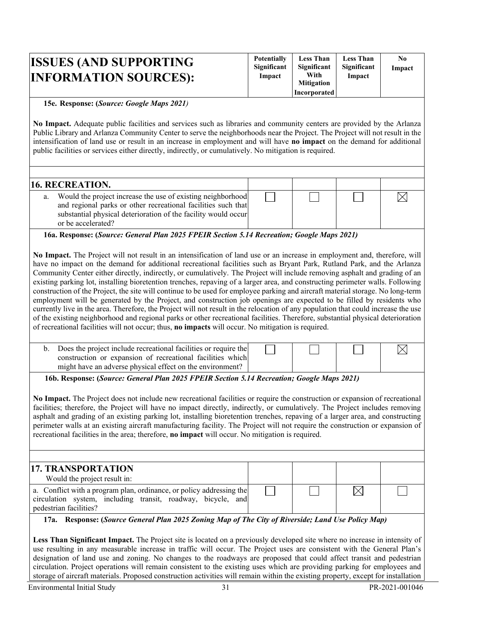| <b>ISSUES (AND SUPPORTING)</b><br><b>INFORMATION SOURCES):</b> | <b>Potentially</b><br>Significant<br>Impact | <b>Less Than</b><br>Significant<br>With<br><b>Mitigation</b> | <b>Less Than</b><br>Significant<br>Impact | N0<br>Impact |
|----------------------------------------------------------------|---------------------------------------------|--------------------------------------------------------------|-------------------------------------------|--------------|
|                                                                |                                             | <b>Incorporated</b>                                          |                                           |              |

### **15e. Response: (***Source: Google Maps 2021)*

**No Impact.** Adequate public facilities and services such as libraries and community centers are provided by the Arlanza Public Library and Arlanza Community Center to serve the neighborhoods near the Project. The Project will not result in the intensification of land use or result in an increase in employment and will have **no impact** on the demand for additional public facilities or services either directly, indirectly, or cumulatively. No mitigation is required.

| <b>16. RECREATION.</b>                                                                                                                                                                                                     |  |  |
|----------------------------------------------------------------------------------------------------------------------------------------------------------------------------------------------------------------------------|--|--|
| Would the project increase the use of existing neighborhood<br>a.<br>and regional parks or other recreational facilities such that<br>substantial physical deterioration of the facility would occur<br>or be accelerated? |  |  |
|                                                                                                                                                                                                                            |  |  |

**16a. Response: (***Source: General Plan 2025 FPEIR Section 5.14 Recreation; Google Maps 2021)* 

**No Impact.** The Project will not result in an intensification of land use or an increase in employment and, therefore, will have no impact on the demand for additional recreational facilities such as Bryant Park, Rutland Park, and the Arlanza Community Center either directly, indirectly, or cumulatively. The Project will include removing asphalt and grading of an existing parking lot, installing bioretention trenches, repaving of a larger area, and constructing perimeter walls. Following construction of the Project, the site will continue to be used for employee parking and aircraft material storage. No long-term employment will be generated by the Project, and construction job openings are expected to be filled by residents who currently live in the area. Therefore, the Project will not result in the relocation of any population that could increase the use of the existing neighborhood and regional parks or other recreational facilities. Therefore, substantial physical deterioration of recreational facilities will not occur; thus, **no impacts** will occur. No mitigation is required.

| b. Does the project include recreational facilities or require the<br>construction or expansion of recreational facilities which |  |  |
|----------------------------------------------------------------------------------------------------------------------------------|--|--|
| might have an adverse physical effect on the environment?                                                                        |  |  |

**16b. Response: (***Source: General Plan 2025 FPEIR Section 5.14 Recreation; Google Maps 2021)*

**No Impact.** The Project does not include new recreational facilities or require the construction or expansion of recreational facilities; therefore, the Project will have no impact directly, indirectly, or cumulatively. The Project includes removing asphalt and grading of an existing parking lot, installing bioretention trenches, repaving of a larger area, and constructing perimeter walls at an existing aircraft manufacturing facility. The Project will not require the construction or expansion of recreational facilities in the area; therefore, **no impact** will occur. No mitigation is required.

| 17. TRANSPORTATION<br>Would the project result in:                                                                                                             |  |  |
|----------------------------------------------------------------------------------------------------------------------------------------------------------------|--|--|
| a. Conflict with a program plan, ordinance, or policy addressing the<br>circulation system, including transit, roadway, bicycle, and<br>pedestrian facilities? |  |  |

**17a. Response: (***Source General Plan 2025 Zoning Map of The City of Riverside; Land Use Policy Map)* 

**Less Than Significant Impact.** The Project site is located on a previously developed site where no increase in intensity of use resulting in any measurable increase in traffic will occur. The Project uses are consistent with the General Plan's designation of land use and zoning. No changes to the roadways are proposed that could affect transit and pedestrian circulation. Project operations will remain consistent to the existing uses which are providing parking for employees and storage of aircraft materials. Proposed construction activities will remain within the existing property, except for installation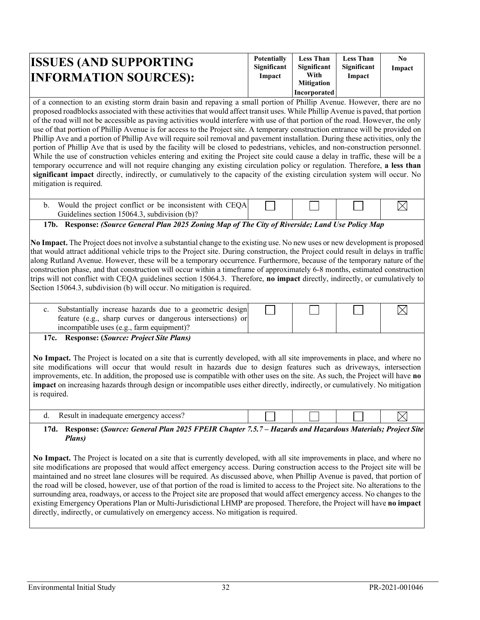| <b>ISSUES (AND SUPPORTING)</b> | <b>Potentially</b><br><b>Significant</b> | <b>Less Than</b><br>Significant | <b>Less Than</b><br>Significant | N0<br>Impact |
|--------------------------------|------------------------------------------|---------------------------------|---------------------------------|--------------|
| <b>INFORMATION SOURCES):</b>   | Impact                                   | With<br><b>Mitigation</b>       | Impact                          |              |
|                                |                                          | Incorporated                    |                                 |              |

of a connection to an existing storm drain basin and repaving a small portion of Phillip Avenue. However, there are no proposed roadblocks associated with these activities that would affect transit uses. While Phillip Avenue is paved, that portion of the road will not be accessible as paving activities would interfere with use of that portion of the road. However, the only use of that portion of Phillip Avenue is for access to the Project site. A temporary construction entrance will be provided on Phillip Ave and a portion of Phillip Ave will require soil removal and pavement installation. During these activities, only the portion of Phillip Ave that is used by the facility will be closed to pedestrians, vehicles, and non-construction personnel. While the use of construction vehicles entering and exiting the Project site could cause a delay in traffic, these will be a temporary occurrence and will not require changing any existing circulation policy or regulation. Therefore, **a less than significant impact** directly, indirectly, or cumulatively to the capacity of the existing circulation system will occur. No mitigation is required.

| Would the project conflict or be inconsistent with CEQA |  |  |
|---------------------------------------------------------|--|--|
| Guidelines section 15064.3, subdivision (b)?            |  |  |

**17b. Response:** *(Source General Plan 2025 Zoning Map of The City of Riverside; Land Use Policy Map*

**No Impact.** The Project does not involve a substantial change to the existing use. No new uses or new development is proposed that would attract additional vehicle trips to the Project site. During construction, the Project could result in delays in traffic along Rutland Avenue. However, these will be a temporary occurrence. Furthermore, because of the temporary nature of the construction phase, and that construction will occur within a timeframe of approximately 6-8 months, estimated construction trips will not conflict with CEQA guidelines section 15064.3. Therefore, **no impact** directly, indirectly, or cumulatively to Section 15064.3, subdivision (b) will occur. No mitigation is required.

| c. Substantially increase hazards due to a geometric design<br>feature (e.g., sharp curves or dangerous intersections) or<br>incompatible uses (e.g., farm equipment)? |  |
|------------------------------------------------------------------------------------------------------------------------------------------------------------------------|--|

**17c. Response: (***Source: Project Site Plans)*

**No Impact.** The Project is located on a site that is currently developed, with all site improvements in place, and where no site modifications will occur that would result in hazards due to design features such as driveways, intersection improvements, etc. In addition, the proposed use is compatible with other uses on the site. As such, the Project will have **no impact** on increasing hazards through design or incompatible uses either directly, indirectly, or cumulatively. No mitigation is required.

|                                                                                                               | Result in inadequate emergency access? |  |  |  |  |  |
|---------------------------------------------------------------------------------------------------------------|----------------------------------------|--|--|--|--|--|
| $\mathbf{D}$ (C $\mathbf{C}$ in assuming $\mathbf{C}$ , assuming $\mathbf{D}$ in $\mathbf{D}$ in $\mathbf{C}$ |                                        |  |  |  |  |  |

#### **17d. Response: (***Source: General Plan 2025 FPEIR Chapter 7.5.7 – Hazards and Hazardous Materials; Project Site Plans)*

**No Impact.** The Project is located on a site that is currently developed, with all site improvements in place, and where no site modifications are proposed that would affect emergency access. During construction access to the Project site will be maintained and no street lane closures will be required. As discussed above, when Phillip Avenue is paved, that portion of the road will be closed, however, use of that portion of the road is limited to access to the Project site. No alterations to the surrounding area, roadways, or access to the Project site are proposed that would affect emergency access. No changes to the existing Emergency Operations Plan or Multi-Jurisdictional LHMP are proposed. Therefore, the Project will have **no impact** directly, indirectly, or cumulatively on emergency access. No mitigation is required.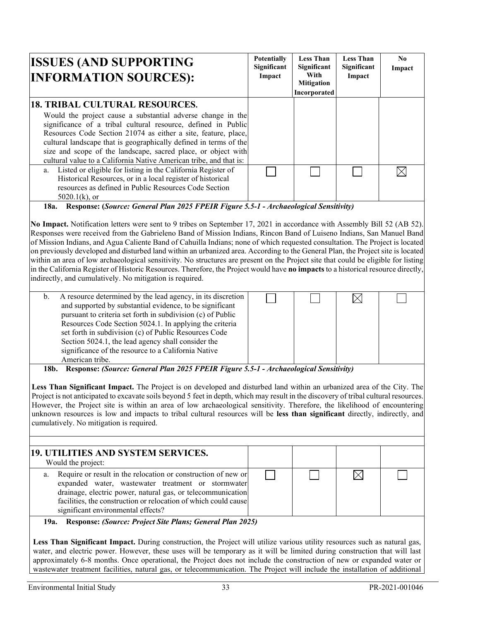| <b>ISSUES (AND SUPPORTING</b><br><b>INFORMATION SOURCES):</b>                                                                                                                                                                                                                                                                                                                                              | <b>Potentially</b><br>Significant<br>Impact | <b>Less Than</b><br>Significant<br>With<br><b>Mitigation</b><br>Incorporated | <b>Less Than</b><br>Significant<br>Impact | N <sub>0</sub><br>Impact |
|------------------------------------------------------------------------------------------------------------------------------------------------------------------------------------------------------------------------------------------------------------------------------------------------------------------------------------------------------------------------------------------------------------|---------------------------------------------|------------------------------------------------------------------------------|-------------------------------------------|--------------------------|
| <b>18. TRIBAL CULTURAL RESOURCES.</b>                                                                                                                                                                                                                                                                                                                                                                      |                                             |                                                                              |                                           |                          |
| Would the project cause a substantial adverse change in the<br>significance of a tribal cultural resource, defined in Public<br>Resources Code Section 21074 as either a site, feature, place,<br>cultural landscape that is geographically defined in terms of the<br>size and scope of the landscape, sacred place, or object with<br>cultural value to a California Native American tribe, and that is: |                                             |                                                                              |                                           |                          |
| Listed or eligible for listing in the California Register of<br>a.<br>Historical Resources, or in a local register of historical<br>resources as defined in Public Resources Code Section<br>$5020.1(k)$ , or                                                                                                                                                                                              |                                             |                                                                              |                                           |                          |

**18a. Response: (***Source: General Plan 2025 FPEIR Figure 5.5-1 - Archaeological Sensitivity)*

**No Impact.** Notification letters were sent to 9 tribes on September 17, 2021 in accordance with Assembly Bill 52 (AB 52). Responses were received from the Gabrieleno Band of Mission Indians, Rincon Band of Luiseno Indians, San Manuel Band of Mission Indians, and Agua Caliente Band of Cahuilla Indians; none of which requested consultation. The Project is located on previously developed and disturbed land within an urbanized area. According to the General Plan, the Project site is located within an area of low archaeological sensitivity. No structures are present on the Project site that could be eligible for listing in the California Register of Historic Resources. Therefore, the Project would have **no impacts** to a historical resource directly, indirectly, and cumulatively. No mitigation is required.

| b. | A resource determined by the lead agency, in its discretion<br>and supported by substantial evidence, to be significant<br>pursuant to criteria set forth in subdivision (c) of Public<br>Resources Code Section 5024.1. In applying the criteria<br>set forth in subdivision (c) of Public Resources Code<br>Section 5024.1, the lead agency shall consider the<br>significance of the resource to a California Native |  |  |
|----|-------------------------------------------------------------------------------------------------------------------------------------------------------------------------------------------------------------------------------------------------------------------------------------------------------------------------------------------------------------------------------------------------------------------------|--|--|
|    | American tribe.                                                                                                                                                                                                                                                                                                                                                                                                         |  |  |

**18b. Response:** *(Source: General Plan 2025 FPEIR Figure 5.5-1 - Archaeological Sensitivity)*

**Less Than Significant Impact.** The Project is on developed and disturbed land within an urbanized area of the City. The Project is not anticipated to excavate soils beyond 5 feet in depth, which may result in the discovery of tribal cultural resources. However, the Project site is within an area of low archaeological sensitivity. Therefore, the likelihood of encountering unknown resources is low and impacts to tribal cultural resources will be **less than significant** directly, indirectly, and cumulatively. No mitigation is required.

| 19. UTILITIES AND SYSTEM SERVICES.<br>Would the project:<br>Require or result in the relocation or construction of new or<br>a.<br>expanded water, wastewater treatment or stormwater<br>drainage, electric power, natural gas, or telecommunication<br>facilities, the construction or relocation of which could cause |                                    |  |  |
|-------------------------------------------------------------------------------------------------------------------------------------------------------------------------------------------------------------------------------------------------------------------------------------------------------------------------|------------------------------------|--|--|
|                                                                                                                                                                                                                                                                                                                         |                                    |  |  |
|                                                                                                                                                                                                                                                                                                                         | significant environmental effects? |  |  |

#### **19a. Response:** *(Source: Project Site Plans; General Plan 2025)*

**Less Than Significant Impact.** During construction, the Project will utilize various utility resources such as natural gas, water, and electric power. However, these uses will be temporary as it will be limited during construction that will last approximately 6-8 months. Once operational, the Project does not include the construction of new or expanded water or wastewater treatment facilities, natural gas, or telecommunication. The Project will include the installation of additional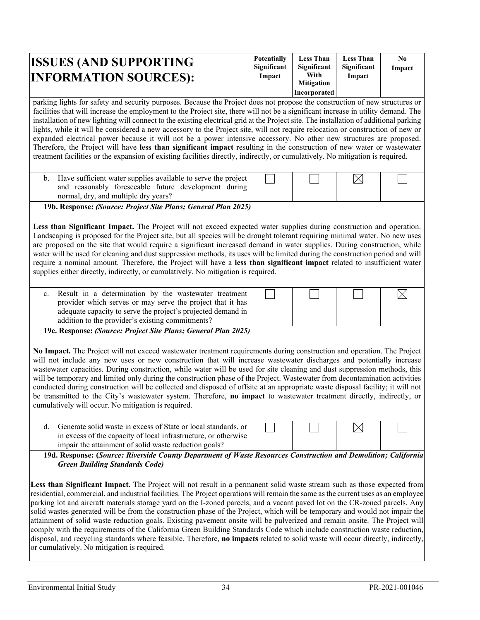| <b>ISSUES (AND SUPPORTING)</b><br><b>INFORMATION SOURCES):</b> | <b>Potentially</b><br>Significant<br>Impact | <b>Less Than</b><br>Significant<br>With | <b>Less Than</b><br>Significant<br>Impact | N <sub>0</sub><br>Impact |
|----------------------------------------------------------------|---------------------------------------------|-----------------------------------------|-------------------------------------------|--------------------------|
|                                                                |                                             | <b>Mitigation</b>                       |                                           |                          |
|                                                                |                                             | <b>Incorporated</b>                     |                                           |                          |

parking lights for safety and security purposes. Because the Project does not propose the construction of new structures or facilities that will increase the employment to the Project site, there will not be a significant increase in utility demand. The installation of new lighting will connect to the existing electrical grid at the Project site. The installation of additional parking lights, while it will be considered a new accessory to the Project site, will not require relocation or construction of new or expanded electrical power because it will not be a power intensive accessory. No other new structures are proposed. Therefore, the Project will have **less than significant impact** resulting in the construction of new water or wastewater treatment facilities or the expansion of existing facilities directly, indirectly, or cumulatively. No mitigation is required.

| Have sufficient water supplies available to serve the project<br>and reasonably foreseeable future development during<br>normal, dry, and multiple dry years? |  |  |
|---------------------------------------------------------------------------------------------------------------------------------------------------------------|--|--|
| ה- יי<br>$\bigcap_{n=1}^{\infty}$                                                                                                                             |  |  |

**19b. Response:** *(Source: Project Site Plans; General Plan 2025)* 

**Less than Significant Impact.** The Project will not exceed expected water supplies during construction and operation. Landscaping is proposed for the Project site, but all species will be drought tolerant requiring minimal water. No new uses are proposed on the site that would require a significant increased demand in water supplies. During construction, while water will be used for cleaning and dust suppression methods, its uses will be limited during the construction period and will require a nominal amount. Therefore, the Project will have a **less than significant impact** related to insufficient water supplies either directly, indirectly, or cumulatively. No mitigation is required.

| c. Result in a determination by the wastewater treatment     |  |  |
|--------------------------------------------------------------|--|--|
| provider which serves or may serve the project that it has   |  |  |
| adequate capacity to serve the project's projected demand in |  |  |
| addition to the provider's existing commitments?             |  |  |

**19c. Response:** *(Source: Project Site Plans; General Plan 2025)*

**No Impact.** The Project will not exceed wastewater treatment requirements during construction and operation. The Project will not include any new uses or new construction that will increase wastewater discharges and potentially increase wastewater capacities. During construction, while water will be used for site cleaning and dust suppression methods, this will be temporary and limited only during the construction phase of the Project. Wastewater from decontamination activities conducted during construction will be collected and disposed of offsite at an appropriate waste disposal facility; it will not be transmitted to the City's wastewater system. Therefore, **no impact** to wastewater treatment directly, indirectly, or cumulatively will occur. No mitigation is required.

| d. Generate solid waste in excess of State or local standards, or |  |  |
|-------------------------------------------------------------------|--|--|
| in excess of the capacity of local infrastructure, or otherwise   |  |  |
| impair the attainment of solid waste reduction goals?             |  |  |

**19d. Response: (***Source: Riverside County Department of Waste Resources Construction and Demolition; California Green Building Standards Code)*

**Less than Significant Impact.** The Project will not result in a permanent solid waste stream such as those expected from residential, commercial, and industrial facilities. The Project operations will remain the same asthe current uses as an employee parking lot and aircraft materials storage yard on the I-zoned parcels, and a vacant paved lot on the CR-zoned parcels. Any solid wastes generated will be from the construction phase of the Project, which will be temporary and would not impair the attainment of solid waste reduction goals. Existing pavement onsite will be pulverized and remain onsite. The Project will comply with the requirements of the California Green Building Standards Code which include construction waste reduction, disposal, and recycling standards where feasible. Therefore, **no impacts** related to solid waste will occur directly, indirectly, or cumulatively. No mitigation is required.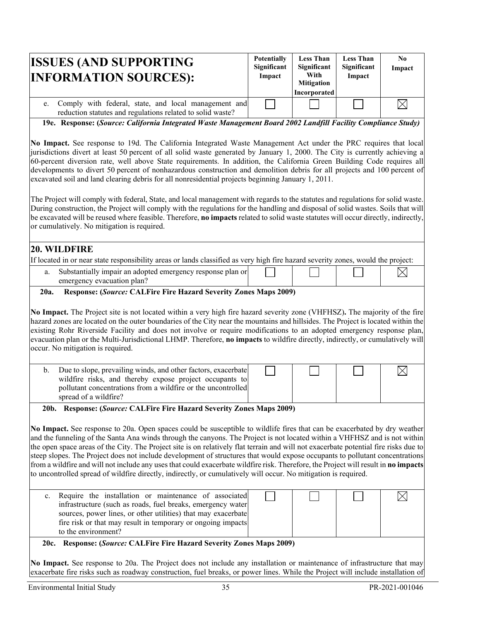| <b>ISSUES (AND SUPPORTING)</b><br><b>INFORMATION SOURCES):</b>                                                                                                                                                                                                                                                                                                   | <b>Potentially</b><br>Significant<br>Impact | <b>Less Than</b><br>Significant<br>With<br><b>Mitigation</b><br>Incorporated | <b>Less Than</b><br>Significant<br>Impact | No.<br>Impact |
|------------------------------------------------------------------------------------------------------------------------------------------------------------------------------------------------------------------------------------------------------------------------------------------------------------------------------------------------------------------|---------------------------------------------|------------------------------------------------------------------------------|-------------------------------------------|---------------|
| e. Comply with federal, state, and local management and<br>reduction statutes and regulations related to solid waste?                                                                                                                                                                                                                                            |                                             |                                                                              |                                           |               |
| 19e. Response: (Source: California Integrated Waste Management Board 2002 Landfill Facility Compliance Study)<br>No Impact. See response to 19d. The California Integrated Waste Management Act under the PRC requires that local<br>iurisdictions divert at least 50 percent of all solid waste generated by January 1, 2000. The City is currently achieving a |                                             |                                                                              |                                           |               |

jurisdictions divert at least 50 percent of all solid waste generated by January 1, 2000. The City is currently achieving a 60-percent diversion rate, well above State requirements. In addition, the California Green Building Code requires all developments to divert 50 percent of nonhazardous construction and demolition debris for all projects and 100 percent of excavated soil and land clearing debris for all nonresidential projects beginning January 1, 2011.

The Project will comply with federal, State, and local management with regards to the statutes and regulations for solid waste. During construction, the Project will comply with the regulations for the handling and disposal of solid wastes. Soils that will be excavated will be reused where feasible. Therefore, **no impacts** related to solid waste statutes will occur directly, indirectly, or cumulatively. No mitigation is required.

## **20. WILDFIRE**

If located in or near state responsibility areas or lands classified as very high fire hazard severity zones, would the project:

Substantially impair an adopted emergency response plan or  $\boxtimes$ emergency evacuation plan?

#### **20a. Response: (***Source:* **CALFire Fire Hazard Severity Zones Maps 2009)**

**No Impact.** The Project site is not located within a very high fire hazard severity zone (VHFHSZ)**.** The majority of the fire hazard zones are located on the outer boundaries of the City near the mountains and hillsides. The Project is located within the existing Rohr Riverside Facility and does not involve or require modifications to an adopted emergency response plan, evacuation plan or the Multi-Jurisdictional LHMP. Therefore, **no impacts** to wildfire directly, indirectly, or cumulatively will occur. No mitigation is required.

| Due to slope, prevailing winds, and other factors, exacerbate |  |  |  |
|---------------------------------------------------------------|--|--|--|
| wildfire risks, and thereby expose project occupants to       |  |  |  |
| pollutant concentrations from a wildfire or the uncontrolled  |  |  |  |
| spread of a wildfire?                                         |  |  |  |

**20b. Response: (***Source:* **CALFire Fire Hazard Severity Zones Maps 2009)**

**No Impact.** See response to 20a. Open spaces could be susceptible to wildlife fires that can be exacerbated by dry weather and the funneling of the Santa Ana winds through the canyons. The Project is not located within a VHFHSZ and is not within the open space areas of the City. The Project site is on relatively flat terrain and will not exacerbate potential fire risks due to steep slopes. The Project does not include development of structures that would expose occupants to pollutant concentrations from a wildfire and will not include any uses that could exacerbate wildfire risk. Therefore, the Project will result in **no impacts** to uncontrolled spread of wildfire directly, indirectly, or cumulatively will occur. No mitigation is required.

| c. Require the installation or maintenance of associated<br>infrastructure (such as roads, fuel breaks, emergency water)<br>sources, power lines, or other utilities) that may exacerbate<br>fire risk or that may result in temporary or ongoing impacts<br>to the environment? |  |  |
|----------------------------------------------------------------------------------------------------------------------------------------------------------------------------------------------------------------------------------------------------------------------------------|--|--|
|                                                                                                                                                                                                                                                                                  |  |  |

### **20c. Response: (***Source:* **CALFire Fire Hazard Severity Zones Maps 2009)**

**No Impact.** See response to 20a. The Project does not include any installation or maintenance of infrastructure that may exacerbate fire risks such as roadway construction, fuel breaks, or power lines. While the Project will include installation of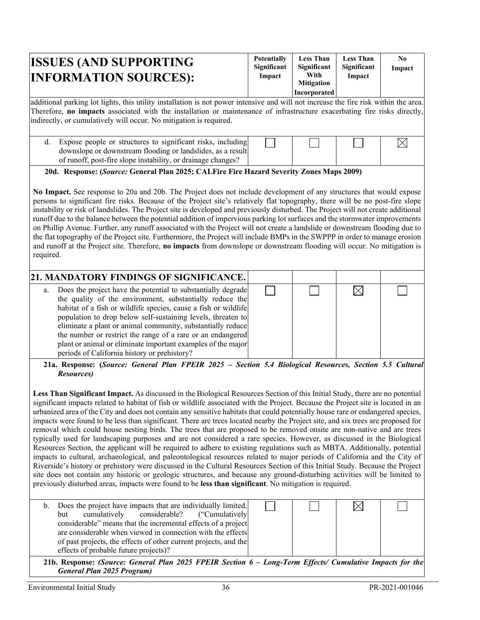| <b>ISSUES (AND SUPPORTING</b><br><b>INFORMATION SOURCES):</b>                                                                                                                                                                                                                                                                           | <b>Potentially</b><br>Significant<br>Impact | <b>Less Than</b><br>Significant<br>With<br><b>Mitigation</b><br>Incorporated | <b>Less Than</b><br>Significant<br>Impact | N <sub>0</sub><br>Impact |  |  |
|-----------------------------------------------------------------------------------------------------------------------------------------------------------------------------------------------------------------------------------------------------------------------------------------------------------------------------------------|---------------------------------------------|------------------------------------------------------------------------------|-------------------------------------------|--------------------------|--|--|
| additional parking lot lights, this utility installation is not power intensive and will not increase the fire risk within the area.<br>Therefore, no impacts associated with the installation or maintenance of infrastructure exacerbating fire risks directly,<br>indirectly, or cumulatively will occur. No mitigation is required. |                                             |                                                                              |                                           |                          |  |  |
| d. Expose people or structures to significant risks, including<br>downslope or downstream flooding or landslides, as a result<br>of runoff, post-fire slope instability, or drainage changes?                                                                                                                                           |                                             |                                                                              |                                           |                          |  |  |

### **20d. Response: (***Source:* **General Plan 2025; CALFire Fire Hazard Severity Zones Maps 2009)**

**No Impact.** See response to 20a and 20b. The Project does not include development of any structures that would expose persons to significant fire risks. Because of the Project site's relatively flat topography, there will be no post-fire slope instability or risk of landslides. The Project site is developed and previously disturbed. The Project will not create additional runoff due to the balance between the potential addition of impervious parking lot surfaces and the stormwater improvements on Phillip Avenue. Further, any runoff associated with the Project will not create a landslide or downstream flooding due to the flat topography of the Project site. Furthermore, the Project will include BMPs in the SWPPP in order to manage erosion and runoff at the Project site. Therefore, **no impacts** from downslope or downstream flooding will occur. No mitigation is required.

|    | 21. MANDATORY FINDINGS OF SIGNIFICANCE.                                                                                                                                                                                                                                                                                                                                                                                                                                                                   |  |  |
|----|-----------------------------------------------------------------------------------------------------------------------------------------------------------------------------------------------------------------------------------------------------------------------------------------------------------------------------------------------------------------------------------------------------------------------------------------------------------------------------------------------------------|--|--|
| a. | Does the project have the potential to substantially degrade<br>the quality of the environment, substantially reduce the<br>habitat of a fish or wildlife species, cause a fish or wildlife<br>population to drop below self-sustaining levels, threaten to<br>eliminate a plant or animal community, substantially reduce<br>the number or restrict the range of a rare or an endangered<br>plant or animal or eliminate important examples of the major<br>periods of California history or prehistory? |  |  |

**21a. Response: (***Source: General Plan FPEIR 2025 – Section 5.4 Biological Resources, Section 5.5 Cultural Resources)* 

**Less Than Significant Impact.** As discussed in the Biological Resources Section of this Initial Study, there are no potential significant impacts related to habitat of fish or wildlife associated with the Project. Because the Project site is located in an urbanized area of the City and does not contain any sensitive habitats that could potentially house rare or endangered species, impacts were found to be less than significant. There are trees located nearby the Project site, and six trees are proposed for removal which could house nesting birds. The trees that are proposed to be removed onsite are non-native and are trees typically used for landscaping purposes and are not considered a rare species. However, as discussed in the Biological Resources Section, the applicant will be required to adhere to existing regulations such as MBTA. Additionally, potential impacts to cultural, archaeological, and paleontological resources related to major periods of California and the City of Riverside's history or prehistory were discussed in the Cultural Resources Section of this Initial Study. Because the Project site does not contain any historic or geologic structures, and because any ground-disturbing activities will be limited to previously disturbed areas, impacts were found to be **less than significant**. No mitigation is required.

| Does the project have impacts that are individually limited,<br>cumulatively considerable? ("Cumulatively<br>but<br>considerable" means that the incremental effects of a project<br>are considerable when viewed in connection with the effects<br>of past projects, the effects of other current projects, and the<br>effects of probable future projects)? |
|---------------------------------------------------------------------------------------------------------------------------------------------------------------------------------------------------------------------------------------------------------------------------------------------------------------------------------------------------------------|

**21b. Response:** *(Source: General Plan 2025 FPEIR Section 6 – Long-Term Effects/ Cumulative Impacts for the General Plan 2025 Program)*